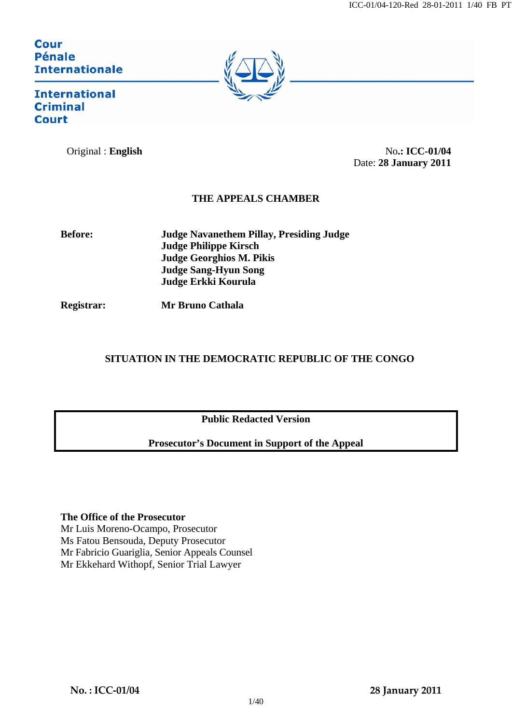# Cour **Pénale Internationale**



**International Criminal Court** 

Original : **English** No**.: ICC-01/04** Date: **28 January 2011**

# **THE APPEALS CHAMBER**

**Before: Judge Navanethem Pillay, Presiding Judge Judge Philippe Kirsch Judge Georghios M. Pikis Judge Sang-Hyun Song Judge Erkki Kourula** 

**Registrar: Mr Bruno Cathala** 

# **SITUATION IN THE DEMOCRATIC REPUBLIC OF THE CONGO**

**Public Redacted Version** 

# **Prosecutor's Document in Support of the Appeal**

# **The Office of the Prosecutor**

Mr Luis Moreno-Ocampo, Prosecutor Ms Fatou Bensouda, Deputy Prosecutor Mr Fabricio Guariglia, Senior Appeals Counsel Mr Ekkehard Withopf, Senior Trial Lawyer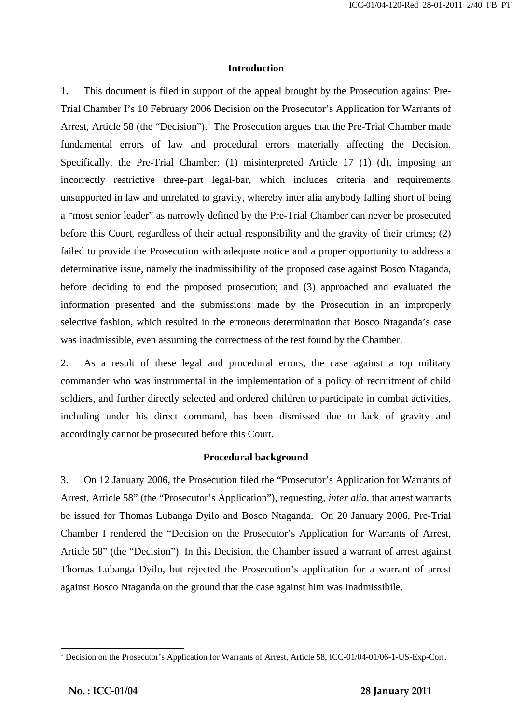## **Introduction**

1. This document is filed in support of the appeal brought by the Prosecution against Pre-Trial Chamber I's 10 February 2006 Decision on the Prosecutor's Application for Warrants of Arrest, Article 58 (the "Decision").<sup>1</sup> The Prosecution argues that the Pre-Trial Chamber made fundamental errors of law and procedural errors materially affecting the Decision. Specifically, the Pre-Trial Chamber: (1) misinterpreted Article 17 (1) (d), imposing an incorrectly restrictive three-part legal-bar, which includes criteria and requirements unsupported in law and unrelated to gravity, whereby inter alia anybody falling short of being a "most senior leader" as narrowly defined by the Pre-Trial Chamber can never be prosecuted before this Court, regardless of their actual responsibility and the gravity of their crimes; (2) failed to provide the Prosecution with adequate notice and a proper opportunity to address a determinative issue, namely the inadmissibility of the proposed case against Bosco Ntaganda, before deciding to end the proposed prosecution; and (3) approached and evaluated the information presented and the submissions made by the Prosecution in an improperly selective fashion, which resulted in the erroneous determination that Bosco Ntaganda's case was inadmissible, even assuming the correctness of the test found by the Chamber.

2. As a result of these legal and procedural errors, the case against a top military commander who was instrumental in the implementation of a policy of recruitment of child soldiers, and further directly selected and ordered children to participate in combat activities, including under his direct command, has been dismissed due to lack of gravity and accordingly cannot be prosecuted before this Court.

#### **Procedural background**

3. On 12 January 2006, the Prosecution filed the "Prosecutor's Application for Warrants of Arrest, Article 58" (the "Prosecutor's Application"), requesting, *inter alia*, that arrest warrants be issued for Thomas Lubanga Dyilo and Bosco Ntaganda. On 20 January 2006, Pre-Trial Chamber I rendered the "Decision on the Prosecutor's Application for Warrants of Arrest, Article 58" (the "Decision"). In this Decision, the Chamber issued a warrant of arrest against Thomas Lubanga Dyilo, but rejected the Prosecution's application for a warrant of arrest against Bosco Ntaganda on the ground that the case against him was inadmissibile.

 $\mathbf{r} = \mathbf{r} \cdot \mathbf{r}$  ,  $\mathbf{r} = \mathbf{r} \cdot \mathbf{r}$  ,  $\mathbf{r} = \mathbf{r} \cdot \mathbf{r}$  ,  $\mathbf{r} = \mathbf{r} \cdot \mathbf{r}$  ,  $\mathbf{r} = \mathbf{r} \cdot \mathbf{r}$  ,  $\mathbf{r} = \mathbf{r} \cdot \mathbf{r}$  ,  $\mathbf{r} = \mathbf{r} \cdot \mathbf{r}$  ,  $\mathbf{r} = \mathbf{r} \cdot \mathbf{r}$  ,  $\mathbf{r} = \mathbf{r$ 

<sup>&</sup>lt;sup>1</sup> Decision on the Prosecutor's Application for Warrants of Arrest, Article 58, ICC-01/04-01/06-1-US-Exp-Corr.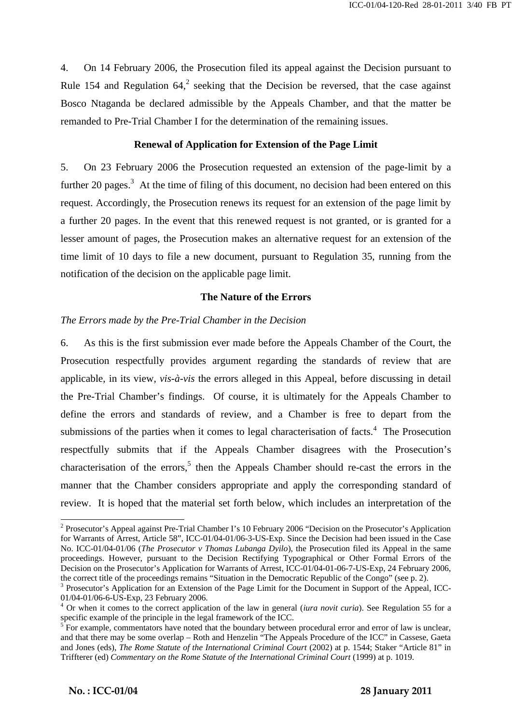4. On 14 February 2006, the Prosecution filed its appeal against the Decision pursuant to Rule 154 and Regulation  $64<sup>2</sup>$  seeking that the Decision be reversed, that the case against Bosco Ntaganda be declared admissible by the Appeals Chamber, and that the matter be remanded to Pre-Trial Chamber I for the determination of the remaining issues.

#### **Renewal of Application for Extension of the Page Limit**

5. On 23 February 2006 the Prosecution requested an extension of the page-limit by a further 20 pages.<sup>3</sup> At the time of filing of this document, no decision had been entered on this request. Accordingly, the Prosecution renews its request for an extension of the page limit by a further 20 pages. In the event that this renewed request is not granted, or is granted for a lesser amount of pages, the Prosecution makes an alternative request for an extension of the time limit of 10 days to file a new document, pursuant to Regulation 35, running from the notification of the decision on the applicable page limit.

## **The Nature of the Errors**

## *The Errors made by the Pre-Trial Chamber in the Decision*

6. As this is the first submission ever made before the Appeals Chamber of the Court, the Prosecution respectfully provides argument regarding the standards of review that are applicable, in its view, *vis-à-vis* the errors alleged in this Appeal, before discussing in detail the Pre-Trial Chamber's findings. Of course, it is ultimately for the Appeals Chamber to define the errors and standards of review, and a Chamber is free to depart from the submissions of the parties when it comes to legal characterisation of facts. $4$  The Prosecution respectfully submits that if the Appeals Chamber disagrees with the Prosecution's characterisation of the errors,<sup>5</sup> then the Appeals Chamber should re-cast the errors in the manner that the Chamber considers appropriate and apply the corresponding standard of review. It is hoped that the material set forth below, which includes an interpretation of the

 $\mathbf{r} = \mathbf{r} \cdot \mathbf{r}$  ,  $\mathbf{r} = \mathbf{r} \cdot \mathbf{r}$  ,  $\mathbf{r} = \mathbf{r} \cdot \mathbf{r}$  ,  $\mathbf{r} = \mathbf{r} \cdot \mathbf{r}$  ,  $\mathbf{r} = \mathbf{r} \cdot \mathbf{r}$  ,  $\mathbf{r} = \mathbf{r} \cdot \mathbf{r}$  ,  $\mathbf{r} = \mathbf{r} \cdot \mathbf{r}$  ,  $\mathbf{r} = \mathbf{r} \cdot \mathbf{r}$  ,  $\mathbf{r} = \mathbf{r$ 

<sup>&</sup>lt;sup>2</sup> Prosecutor's Appeal against Pre-Trial Chamber I's 10 February 2006 "Decision on the Prosecutor's Application for Warrants of Arrest, Article 58", ICC-01/04-01/06-3-US-Exp. Since the Decision had been issued in the Case No. ICC-01/04-01/06 (*The Prosecutor v Thomas Lubanga Dyilo*), the Prosecution filed its Appeal in the same proceedings. However, pursuant to the Decision Rectifying Typographical or Other Formal Errors of the Decision on the Prosecutor's Application for Warrants of Arrest, ICC-01/04-01-06-7-US-Exp, 24 February 2006, the correct title of the proceedings remains "Situation in the Democratic Republic of the Congo" (see p. 2).

<sup>&</sup>lt;sup>3</sup> Prosecutor's Application for an Extension of the Page Limit for the Document in Support of the Appeal, ICC-01/04-01/06-6-US-Exp, 23 February 2006.

<sup>&</sup>lt;sup>4</sup> Or when it comes to the correct application of the law in general (*iura novit curia*). See Regulation 55 for a specific example of the principle in the legal framework of the ICC.

For example, commentators have noted that the boundary between procedural error and error of law is unclear, and that there may be some overlap – Roth and Henzelin "The Appeals Procedure of the ICC" in Cassese, Gaeta and Jones (eds), *The Rome Statute of the International Criminal Court* (2002) at p. 1544; Staker "Article 81" in Triffterer (ed) *Commentary on the Rome Statute of the International Criminal Court* (1999) at p. 1019.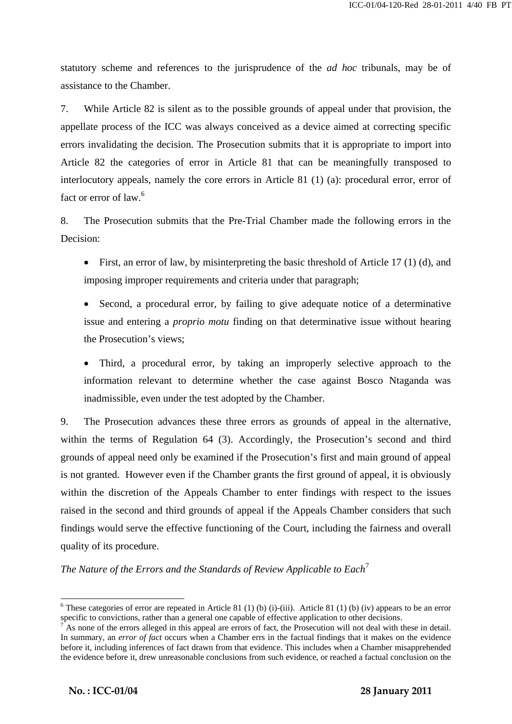statutory scheme and references to the jurisprudence of the *ad hoc* tribunals, may be of assistance to the Chamber.

7. While Article 82 is silent as to the possible grounds of appeal under that provision, the appellate process of the ICC was always conceived as a device aimed at correcting specific errors invalidating the decision. The Prosecution submits that it is appropriate to import into Article 82 the categories of error in Article 81 that can be meaningfully transposed to interlocutory appeals, namely the core errors in Article 81 (1) (a): procedural error, error of fact or error of law.<sup>6</sup>

8. The Prosecution submits that the Pre-Trial Chamber made the following errors in the Decision:

- First, an error of law, by misinterpreting the basic threshold of Article 17 (1) (d), and imposing improper requirements and criteria under that paragraph;
- Second, a procedural error, by failing to give adequate notice of a determinative issue and entering a *proprio motu* finding on that determinative issue without hearing the Prosecution's views;
- Third, a procedural error, by taking an improperly selective approach to the information relevant to determine whether the case against Bosco Ntaganda was inadmissible, even under the test adopted by the Chamber.

9. The Prosecution advances these three errors as grounds of appeal in the alternative, within the terms of Regulation 64 (3). Accordingly, the Prosecution's second and third grounds of appeal need only be examined if the Prosecution's first and main ground of appeal is not granted. However even if the Chamber grants the first ground of appeal, it is obviously within the discretion of the Appeals Chamber to enter findings with respect to the issues raised in the second and third grounds of appeal if the Appeals Chamber considers that such findings would serve the effective functioning of the Court, including the fairness and overall quality of its procedure.

*The Nature of the Errors and the Standards of Review Applicable to Each*<sup>7</sup>

 $\mathbf{r} = \mathbf{r} \cdot \mathbf{r}$  ,  $\mathbf{r} = \mathbf{r} \cdot \mathbf{r}$  ,  $\mathbf{r} = \mathbf{r} \cdot \mathbf{r}$  ,  $\mathbf{r} = \mathbf{r} \cdot \mathbf{r}$  ,  $\mathbf{r} = \mathbf{r} \cdot \mathbf{r}$  ,  $\mathbf{r} = \mathbf{r} \cdot \mathbf{r}$  ,  $\mathbf{r} = \mathbf{r} \cdot \mathbf{r}$  ,  $\mathbf{r} = \mathbf{r} \cdot \mathbf{r}$  ,  $\mathbf{r} = \mathbf{r$ 

l

<sup>&</sup>lt;sup>6</sup> These categories of error are repeated in Article 81 (1) (b) (i)-(iii). Article 81 (1) (b) (iv) appears to be an error specific to convictions, rather than a general one capable of effective application to other decisions.

As none of the errors alleged in this appeal are errors of fact, the Prosecution will not deal with these in detail. In summary, an *error of fact* occurs when a Chamber errs in the factual findings that it makes on the evidence before it, including inferences of fact drawn from that evidence. This includes when a Chamber misapprehended the evidence before it, drew unreasonable conclusions from such evidence, or reached a factual conclusion on the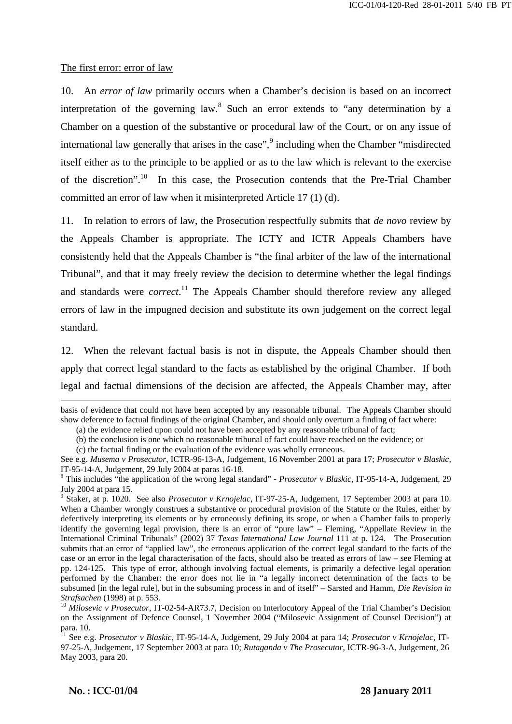#### The first error: error of law

10. An *error of law* primarily occurs when a Chamber's decision is based on an incorrect interpretation of the governing law.<sup>8</sup> Such an error extends to "any determination by a Chamber on a question of the substantive or procedural law of the Court, or on any issue of international law generally that arises in the case",<sup>9</sup> including when the Chamber "misdirected itself either as to the principle to be applied or as to the law which is relevant to the exercise of the discretion".10 In this case, the Prosecution contends that the Pre-Trial Chamber committed an error of law when it misinterpreted Article 17 (1) (d).

11. In relation to errors of law, the Prosecution respectfully submits that *de novo* review by the Appeals Chamber is appropriate. The ICTY and ICTR Appeals Chambers have consistently held that the Appeals Chamber is "the final arbiter of the law of the international Tribunal", and that it may freely review the decision to determine whether the legal findings and standards were *correct*. 11 The Appeals Chamber should therefore review any alleged errors of law in the impugned decision and substitute its own judgement on the correct legal standard.

12. When the relevant factual basis is not in dispute, the Appeals Chamber should then apply that correct legal standard to the facts as established by the original Chamber. If both legal and factual dimensions of the decision are affected, the Appeals Chamber may, after

 $\mathbf{r} = \mathbf{r} \cdot \mathbf{r}$  ,  $\mathbf{r} = \mathbf{r} \cdot \mathbf{r}$  ,  $\mathbf{r} = \mathbf{r} \cdot \mathbf{r}$  ,  $\mathbf{r} = \mathbf{r} \cdot \mathbf{r}$  ,  $\mathbf{r} = \mathbf{r} \cdot \mathbf{r}$  ,  $\mathbf{r} = \mathbf{r} \cdot \mathbf{r}$  ,  $\mathbf{r} = \mathbf{r} \cdot \mathbf{r}$  ,  $\mathbf{r} = \mathbf{r} \cdot \mathbf{r}$  ,  $\mathbf{r} = \mathbf{r$ 

basis of evidence that could not have been accepted by any reasonable tribunal. The Appeals Chamber should show deference to factual findings of the original Chamber, and should only overturn a finding of fact where:

<sup>(</sup>a) the evidence relied upon could not have been accepted by any reasonable tribunal of fact;

<sup>(</sup>b) the conclusion is one which no reasonable tribunal of fact could have reached on the evidence; or

<sup>(</sup>c) the factual finding or the evaluation of the evidence was wholly erroneous.

See e.g. *Musema v Prosecutor*, ICTR-96-13-A, Judgement, 16 November 2001 at para 17; *Prosecutor v Blaskic*, IT-95-14-A, Judgement, 29 July 2004 at paras 16-18.

<sup>8</sup> This includes "the application of the wrong legal standard" - *Prosecutor v Blaskic*, IT-95-14-A, Judgement, 29 July 2004 at para 15. 9 Staker, at p. 1020. See also *Prosecutor v Krnojelac*, IT-97-25-A, Judgement, 17 September 2003 at para 10.

When a Chamber wrongly construes a substantive or procedural provision of the Statute or the Rules, either by defectively interpreting its elements or by erroneously defining its scope, or when a Chamber fails to properly identify the governing legal provision, there is an error of "pure law" – Fleming, "Appellate Review in the International Criminal Tribunals" (2002) 37 *Texas International Law Journal* 111 at p. 124. The Prosecution submits that an error of "applied law", the erroneous application of the correct legal standard to the facts of the case or an error in the legal characterisation of the facts, should also be treated as errors of law – see Fleming at pp. 124-125. This type of error, although involving factual elements, is primarily a defective legal operation performed by the Chamber: the error does not lie in "a legally incorrect determination of the facts to be subsumed [in the legal rule], but in the subsuming process in and of itself" – Sarsted and Hamm, *Die Revision in* 

<sup>&</sup>lt;sup>10</sup> *Milosevic v Prosecutor*, IT-02-54-AR73.7, Decision on Interlocutory Appeal of the Trial Chamber's Decision on the Assignment of Defence Counsel, 1 November 2004 ("Milosevic Assignment of Counsel Decision") at para. 10.

<sup>11</sup> See e.g. *Prosecutor v Blaskic*, IT-95-14-A, Judgement, 29 July 2004 at para 14; *Prosecutor v Krnojelac*, IT-97-25-A, Judgement, 17 September 2003 at para 10; *Rutaganda v The Prosecutor*, ICTR-96-3-A, Judgement, 26 May 2003, para 20.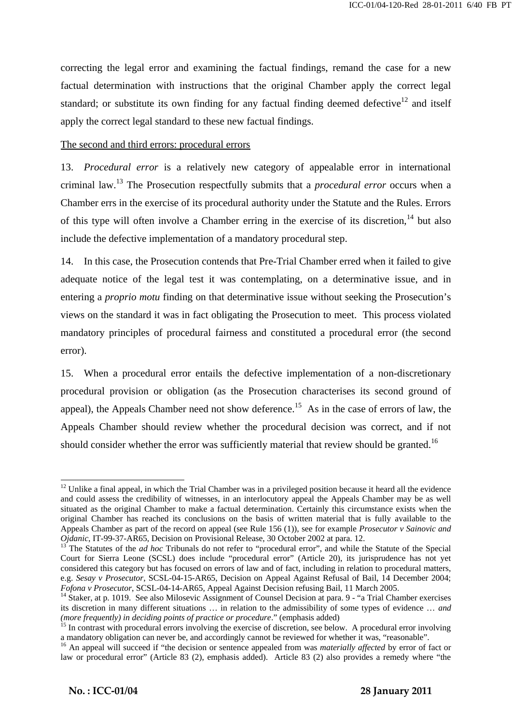correcting the legal error and examining the factual findings, remand the case for a new factual determination with instructions that the original Chamber apply the correct legal standard; or substitute its own finding for any factual finding deemed defective<sup>12</sup> and itself apply the correct legal standard to these new factual findings.

#### The second and third errors: procedural errors

13. *Procedural error* is a relatively new category of appealable error in international criminal law.13 The Prosecution respectfully submits that a *procedural error* occurs when a Chamber errs in the exercise of its procedural authority under the Statute and the Rules. Errors of this type will often involve a Chamber erring in the exercise of its discretion,<sup>14</sup> but also include the defective implementation of a mandatory procedural step.

14. In this case, the Prosecution contends that Pre-Trial Chamber erred when it failed to give adequate notice of the legal test it was contemplating, on a determinative issue, and in entering a *proprio motu* finding on that determinative issue without seeking the Prosecution's views on the standard it was in fact obligating the Prosecution to meet. This process violated mandatory principles of procedural fairness and constituted a procedural error (the second error).

15. When a procedural error entails the defective implementation of a non-discretionary procedural provision or obligation (as the Prosecution characterises its second ground of appeal), the Appeals Chamber need not show deference.<sup>15</sup> As in the case of errors of law, the Appeals Chamber should review whether the procedural decision was correct, and if not should consider whether the error was sufficiently material that review should be granted.<sup>16</sup>

 $\overline{a}$  $12$  Unlike a final appeal, in which the Trial Chamber was in a privileged position because it heard all the evidence and could assess the credibility of witnesses, in an interlocutory appeal the Appeals Chamber may be as well situated as the original Chamber to make a factual determination. Certainly this circumstance exists when the original Chamber has reached its conclusions on the basis of written material that is fully available to the Appeals Chamber as part of the record on appeal (see Rule 156 (1)), see for example *Prosecutor v Sainovic and Ojdanic*, IT-99-37-AR65, Decision on Provisional Release, 30 October 2002 at para. 12.<br><sup>13</sup> The Statutes of the *ad hoc* Tribunals do not refer to "procedural error", and while the Statute of the Special

Court for Sierra Leone (SCSL) does include "procedural error" (Article 20), its jurisprudence has not yet considered this category but has focused on errors of law and of fact, including in relation to procedural matters, e.g. *Sesay v Prosecutor*, SCSL-04-15-AR65, Decision on Appeal Against Refusal of Bail, 14 December 2004; *Fofona v Prosecutor*, SCSL-04-14-AR65, Appeal Against Decision refusing Bail, 11 March 2005.

<sup>&</sup>lt;sup>14</sup> Staker, at p. 1019. See also Milosevic Assignment of Counsel Decision at para. 9 - "a Trial Chamber exercises its discretion in many different situations … in relation to the admissibility of some types of evidence … *and* 

<sup>&</sup>lt;sup>15</sup> In contrast with procedural errors involving the exercise of discretion, see below. A procedural error involving a mandatory obligation can never be, and accordingly cannot be reviewed for whether it was, "reasonable"

<sup>&</sup>lt;sup>16</sup> An appeal will succeed if "the decision or sentence appealed from was *materially affected* by error of fact or law or procedural error" (Article 83 (2), emphasis added). Article 83 (2) also provides a remedy where "the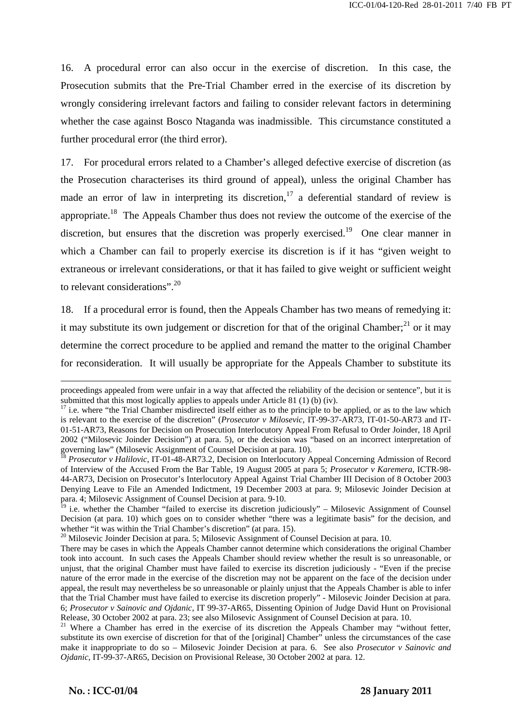16. A procedural error can also occur in the exercise of discretion. In this case, the Prosecution submits that the Pre-Trial Chamber erred in the exercise of its discretion by wrongly considering irrelevant factors and failing to consider relevant factors in determining whether the case against Bosco Ntaganda was inadmissible. This circumstance constituted a further procedural error (the third error).

17. For procedural errors related to a Chamber's alleged defective exercise of discretion (as the Prosecution characterises its third ground of appeal), unless the original Chamber has made an error of law in interpreting its discretion,<sup>17</sup> a deferential standard of review is appropriate.18 The Appeals Chamber thus does not review the outcome of the exercise of the discretion, but ensures that the discretion was properly exercised.<sup>19</sup> One clear manner in which a Chamber can fail to properly exercise its discretion is if it has "given weight to extraneous or irrelevant considerations, or that it has failed to give weight or sufficient weight to relevant considerations".<sup>20</sup>

18. If a procedural error is found, then the Appeals Chamber has two means of remedying it: it may substitute its own judgement or discretion for that of the original Chamber; $^{21}$  or it may determine the correct procedure to be applied and remand the matter to the original Chamber for reconsideration. It will usually be appropriate for the Appeals Chamber to substitute its

 $\mathbf{r} = \mathbf{r} \cdot \mathbf{r}$  ,  $\mathbf{r} = \mathbf{r} \cdot \mathbf{r}$  ,  $\mathbf{r} = \mathbf{r} \cdot \mathbf{r}$  ,  $\mathbf{r} = \mathbf{r} \cdot \mathbf{r}$  ,  $\mathbf{r} = \mathbf{r} \cdot \mathbf{r}$  ,  $\mathbf{r} = \mathbf{r} \cdot \mathbf{r}$  ,  $\mathbf{r} = \mathbf{r} \cdot \mathbf{r}$  ,  $\mathbf{r} = \mathbf{r} \cdot \mathbf{r}$  ,  $\mathbf{r} = \mathbf{r$ 

proceedings appealed from were unfair in a way that affected the reliability of the decision or sentence", but it is submitted that this most logically applies to appeals under Article 81 (1) (b) (iv).

<sup>&</sup>lt;sup>17</sup> i.e. where "the Trial Chamber misdirected itself either as to the principle to be applied, or as to the law which is relevant to the exercise of the discretion" (*Prosecutor v Milosevic*, IT-99-37-AR73, IT-01-50-AR73 and IT-01-51-AR73, Reasons for Decision on Prosecution Interlocutory Appeal From Refusal to Order Joinder, 18 April 2002 ("Milosevic Joinder Decision") at para. 5), or the decision was "based on an incorrect interpretation of

governing law" (Milosevic Assignment of Counsel Decision at para. 10).<br><sup>18</sup> *Prosecutor v Halilovic*, IT-01-48-AR73.2, Decision on Interlocutory Appeal Concerning Admission of Record of Interview of the Accused From the Bar Table, 19 August 2005 at para 5; *Prosecutor v Karemera*, ICTR-98- 44-AR73, Decision on Prosecutor's Interlocutory Appeal Against Trial Chamber III Decision of 8 October 2003 Denying Leave to File an Amended Indictment, 19 December 2003 at para. 9; Milosevic Joinder Decision at para. 4; Milosevic Assignment of Counsel Decision at para. 9-10.

 $19$  i.e. whether the Chamber "failed to exercise its discretion judiciously" – Milosevic Assignment of Counsel Decision (at para. 10) which goes on to consider whether "there was a legitimate basis" for the decision, and whether "it was within the Trial Chamber's discretion" (at para. 15).

 $20$  Milosevic Joinder Decision at para. 5; Milosevic Assignment of Counsel Decision at para. 10.

There may be cases in which the Appeals Chamber cannot determine which considerations the original Chamber took into account. In such cases the Appeals Chamber should review whether the result is so unreasonable, or unjust, that the original Chamber must have failed to exercise its discretion judiciously - "Even if the precise nature of the error made in the exercise of the discretion may not be apparent on the face of the decision under appeal, the result may nevertheless be so unreasonable or plainly unjust that the Appeals Chamber is able to infer that the Trial Chamber must have failed to exercise its discretion properly" - Milosevic Joinder Decision at para. 6; *Prosecutor v Sainovic and Ojdanic*, IT 99-37-AR65, Dissenting Opinion of Judge David Hunt on Provisional Release, 30 October 2002 at para. 23; see also Milosevic Assignment of Counsel Decision at para. 10.<br><sup>21</sup> Where a Chamber has erred in the exercise of its discretion the Appeals Chamber may "without fetter,

substitute its own exercise of discretion for that of the [original] Chamber" unless the circumstances of the case make it inappropriate to do so *–* Milosevic Joinder Decision at para. 6. See also *Prosecutor v Sainovic and Ojdanic*, IT-99-37-AR65, Decision on Provisional Release, 30 October 2002 at para. 12.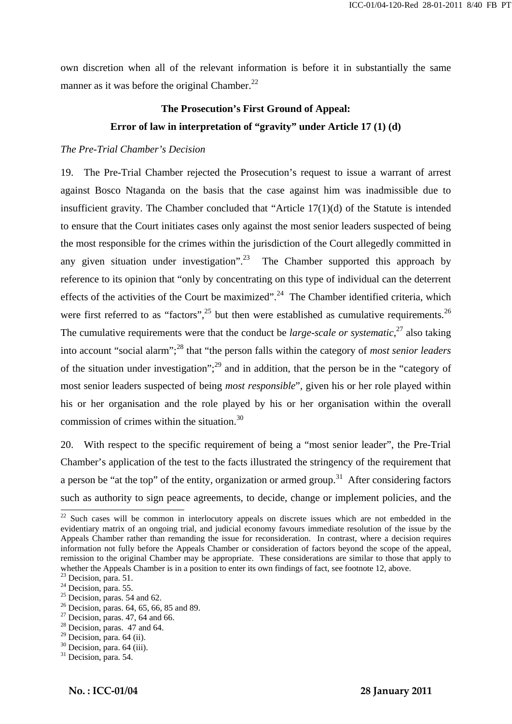own discretion when all of the relevant information is before it in substantially the same manner as it was before the original Chamber. $^{22}$ 

# **The Prosecution's First Ground of Appeal: Error of law in interpretation of "gravity" under Article 17 (1) (d)**

#### *The Pre-Trial Chamber's Decision*

19. The Pre-Trial Chamber rejected the Prosecution's request to issue a warrant of arrest against Bosco Ntaganda on the basis that the case against him was inadmissible due to insufficient gravity. The Chamber concluded that "Article  $17(1)(d)$  of the Statute is intended to ensure that the Court initiates cases only against the most senior leaders suspected of being the most responsible for the crimes within the jurisdiction of the Court allegedly committed in any given situation under investigation".<sup>23</sup> The Chamber supported this approach by reference to its opinion that "only by concentrating on this type of individual can the deterrent effects of the activities of the Court be maximized".<sup>24</sup> The Chamber identified criteria, which were first referred to as "factors",<sup>25</sup> but then were established as cumulative requirements.<sup>26</sup> The cumulative requirements were that the conduct be *large-scale or systematic*,<sup>27</sup> also taking into account "social alarm";28 that "the person falls within the category of *most senior leaders* of the situation under investigation";29 and in addition, that the person be in the "category of most senior leaders suspected of being *most responsible*", given his or her role played within his or her organisation and the role played by his or her organisation within the overall commission of crimes within the situation.<sup>30</sup>

20. With respect to the specific requirement of being a "most senior leader", the Pre-Trial Chamber's application of the test to the facts illustrated the stringency of the requirement that a person be "at the top" of the entity, organization or armed group.<sup>31</sup> After considering factors such as authority to sign peace agreements, to decide, change or implement policies, and the

 $\mathbf{r} = \mathbf{r} \cdot \mathbf{r}$  ,  $\mathbf{r} = \mathbf{r} \cdot \mathbf{r}$  ,  $\mathbf{r} = \mathbf{r} \cdot \mathbf{r}$  ,  $\mathbf{r} = \mathbf{r} \cdot \mathbf{r}$  ,  $\mathbf{r} = \mathbf{r} \cdot \mathbf{r}$  ,  $\mathbf{r} = \mathbf{r} \cdot \mathbf{r}$  ,  $\mathbf{r} = \mathbf{r} \cdot \mathbf{r}$  ,  $\mathbf{r} = \mathbf{r} \cdot \mathbf{r}$  ,  $\mathbf{r} = \mathbf{r$ 

 $22$  Such cases will be common in interlocutory appeals on discrete issues which are not embedded in the evidentiary matrix of an ongoing trial, and judicial economy favours immediate resolution of the issue by the Appeals Chamber rather than remanding the issue for reconsideration. In contrast, where a decision requires information not fully before the Appeals Chamber or consideration of factors beyond the scope of the appeal, remission to the original Chamber may be appropriate. These considerations are similar to those that apply to whether the Appeals Chamber is in a position to enter its own findings of fact, see footnote 12, above.

 $23$  Decision, para. 51.

 $24$  Decision, para. 55.

 $25$  Decision, paras. 54 and 62.

 $^{26}$  Decision, paras. 64, 65, 66, 85 and 89.

 $27$  Decision, paras. 47, 64 and 66.

 $28$  Decision, paras. 47 and 64.

 $29$  Decision, para. 64 (ii).

<sup>30</sup> Decision, para. 64 (iii).

 $31$  Decision, para. 54.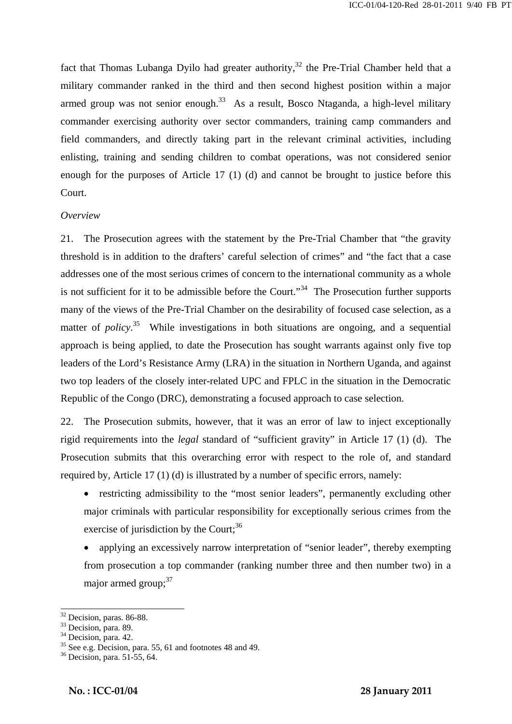fact that Thomas Lubanga Dyilo had greater authority,<sup>32</sup> the Pre-Trial Chamber held that a military commander ranked in the third and then second highest position within a major armed group was not senior enough.<sup>33</sup> As a result, Bosco Ntaganda, a high-level military commander exercising authority over sector commanders, training camp commanders and field commanders, and directly taking part in the relevant criminal activities, including enlisting, training and sending children to combat operations, was not considered senior enough for the purposes of Article 17 (1) (d) and cannot be brought to justice before this Court.

#### *Overview*

21. The Prosecution agrees with the statement by the Pre-Trial Chamber that "the gravity threshold is in addition to the drafters' careful selection of crimes" and "the fact that a case addresses one of the most serious crimes of concern to the international community as a whole is not sufficient for it to be admissible before the Court."<sup>34</sup> The Prosecution further supports many of the views of the Pre-Trial Chamber on the desirability of focused case selection, as a matter of *policy*<sup>35</sup> While investigations in both situations are ongoing, and a sequential approach is being applied, to date the Prosecution has sought warrants against only five top leaders of the Lord's Resistance Army (LRA) in the situation in Northern Uganda, and against two top leaders of the closely inter-related UPC and FPLC in the situation in the Democratic Republic of the Congo (DRC), demonstrating a focused approach to case selection.

22. The Prosecution submits, however, that it was an error of law to inject exceptionally rigid requirements into the *legal* standard of "sufficient gravity" in Article 17 (1) (d). The Prosecution submits that this overarching error with respect to the role of, and standard required by, Article 17 (1) (d) is illustrated by a number of specific errors, namely:

- restricting admissibility to the "most senior leaders", permanently excluding other major criminals with particular responsibility for exceptionally serious crimes from the exercise of jurisdiction by the Court;  $36$
- applying an excessively narrow interpretation of "senior leader", thereby exempting from prosecution a top commander (ranking number three and then number two) in a major armed  $\text{group}^{\text{37}}$

 $\mathbf{r} = \mathbf{r} \cdot \mathbf{r}$  ,  $\mathbf{r} = \mathbf{r} \cdot \mathbf{r}$  ,  $\mathbf{r} = \mathbf{r} \cdot \mathbf{r}$  ,  $\mathbf{r} = \mathbf{r} \cdot \mathbf{r}$  ,  $\mathbf{r} = \mathbf{r} \cdot \mathbf{r}$  ,  $\mathbf{r} = \mathbf{r} \cdot \mathbf{r}$  ,  $\mathbf{r} = \mathbf{r} \cdot \mathbf{r}$  ,  $\mathbf{r} = \mathbf{r} \cdot \mathbf{r}$  ,  $\mathbf{r} = \mathbf{r$ 

<sup>&</sup>lt;sup>32</sup> Decision, paras. 86-88.

 $33$  Decision, para. 89.

 $34$  Decision, para. 42.

 $35$  See e.g. Decision, para. 55, 61 and footnotes 48 and 49.

<sup>36</sup> Decision, para. 51-55, 64.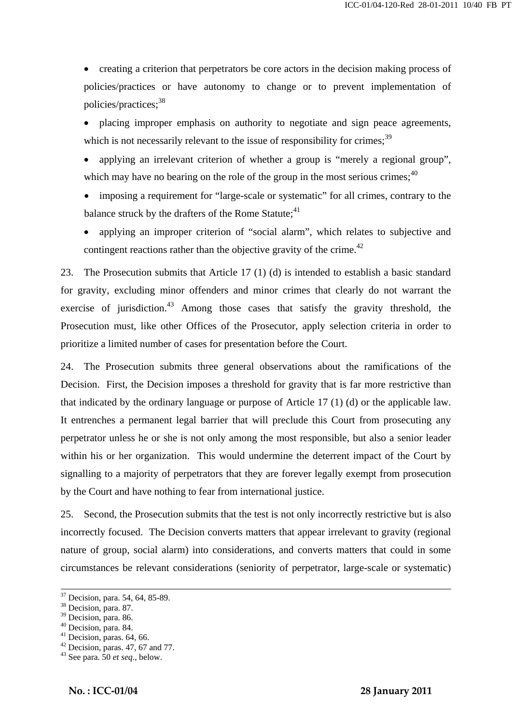• creating a criterion that perpetrators be core actors in the decision making process of policies/practices or have autonomy to change or to prevent implementation of policies/practices;<sup>38</sup>

• placing improper emphasis on authority to negotiate and sign peace agreements, which is not necessarily relevant to the issue of responsibility for crimes;  $39$ 

applying an irrelevant criterion of whether a group is "merely a regional group". which may have no bearing on the role of the group in the most serious crimes: $40$ 

imposing a requirement for "large-scale or systematic" for all crimes, contrary to the balance struck by the drafters of the Rome Statute;<sup>41</sup>

• applying an improper criterion of "social alarm", which relates to subjective and contingent reactions rather than the objective gravity of the crime.<sup>42</sup>

23. The Prosecution submits that Article 17 (1) (d) is intended to establish a basic standard for gravity, excluding minor offenders and minor crimes that clearly do not warrant the exercise of jurisdiction. $43$  Among those cases that satisfy the gravity threshold, the Prosecution must, like other Offices of the Prosecutor, apply selection criteria in order to prioritize a limited number of cases for presentation before the Court.

24. The Prosecution submits three general observations about the ramifications of the Decision. First, the Decision imposes a threshold for gravity that is far more restrictive than that indicated by the ordinary language or purpose of Article 17 (1) (d) or the applicable law. It entrenches a permanent legal barrier that will preclude this Court from prosecuting any perpetrator unless he or she is not only among the most responsible, but also a senior leader within his or her organization. This would undermine the deterrent impact of the Court by signalling to a majority of perpetrators that they are forever legally exempt from prosecution by the Court and have nothing to fear from international justice.

25. Second, the Prosecution submits that the test is not only incorrectly restrictive but is also incorrectly focused. The Decision converts matters that appear irrelevant to gravity (regional nature of group, social alarm) into considerations, and converts matters that could in some circumstances be relevant considerations (seniority of perpetrator, large-scale or systematic)

 <sup>37</sup> Decision, para. 54, 64, 85-89.

<sup>38</sup> Decision, para. 87.

<sup>&</sup>lt;sup>39</sup> Decision, para. 86.

<sup>40</sup> Decision, para. 84.

 $41$  Decision, paras. 64, 66.

 $42$  Decision, paras. 47, 67 and 77.

<sup>43</sup> See para. 50 *et seq*., below.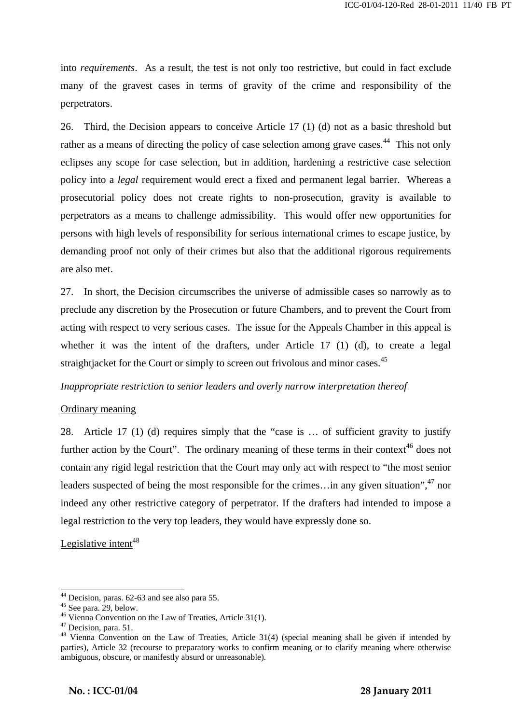into *requirements*. As a result, the test is not only too restrictive, but could in fact exclude many of the gravest cases in terms of gravity of the crime and responsibility of the perpetrators.

26. Third, the Decision appears to conceive Article 17 (1) (d) not as a basic threshold but rather as a means of directing the policy of case selection among grave cases.<sup>44</sup> This not only eclipses any scope for case selection, but in addition, hardening a restrictive case selection policy into a *legal* requirement would erect a fixed and permanent legal barrier. Whereas a prosecutorial policy does not create rights to non-prosecution, gravity is available to perpetrators as a means to challenge admissibility. This would offer new opportunities for persons with high levels of responsibility for serious international crimes to escape justice, by demanding proof not only of their crimes but also that the additional rigorous requirements are also met.

27. In short, the Decision circumscribes the universe of admissible cases so narrowly as to preclude any discretion by the Prosecution or future Chambers, and to prevent the Court from acting with respect to very serious cases. The issue for the Appeals Chamber in this appeal is whether it was the intent of the drafters, under Article 17 (1) (d), to create a legal straightiacket for the Court or simply to screen out frivolous and minor cases.<sup>45</sup>

#### *Inappropriate restriction to senior leaders and overly narrow interpretation thereof*

#### Ordinary meaning

28. Article 17 (1) (d) requires simply that the "case is … of sufficient gravity to justify further action by the Court". The ordinary meaning of these terms in their context<sup>46</sup> does not contain any rigid legal restriction that the Court may only act with respect to "the most senior leaders suspected of being the most responsible for the crimes... in any given situation",  $47$  nor indeed any other restrictive category of perpetrator. If the drafters had intended to impose a legal restriction to the very top leaders, they would have expressly done so.

Legislative intent<sup>48</sup>

 $\overline{a}$ 

<sup>44</sup> Decision, paras. 62-63 and see also para 55.

 $45$  See para. 29, below.

<sup>46</sup> Vienna Convention on the Law of Treaties, Article 31(1).

<sup>&</sup>lt;sup>47</sup> Decision, para. 51.

<sup>&</sup>lt;sup>48</sup> Vienna Convention on the Law of Treaties, Article 31(4) (special meaning shall be given if intended by parties), Article 32 (recourse to preparatory works to confirm meaning or to clarify meaning where otherwise ambiguous, obscure, or manifestly absurd or unreasonable).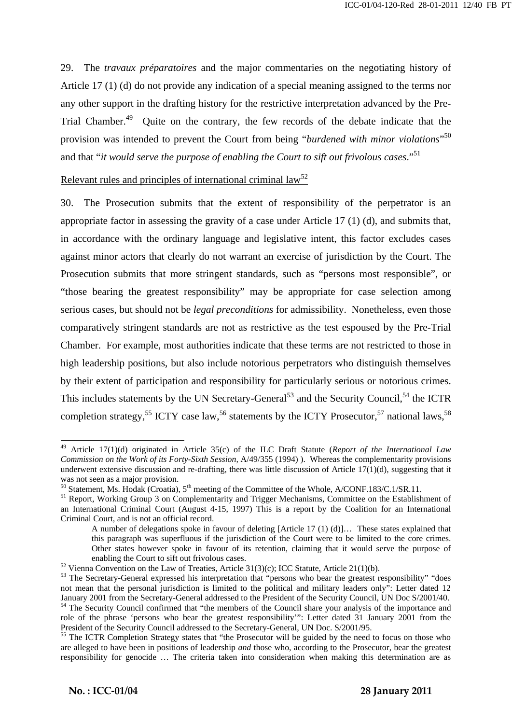29. The *travaux préparatoires* and the major commentaries on the negotiating history of Article 17 (1) (d) do not provide any indication of a special meaning assigned to the terms nor any other support in the drafting history for the restrictive interpretation advanced by the Pre-Trial Chamber.<sup>49</sup> Quite on the contrary, the few records of the debate indicate that the provision was intended to prevent the Court from being "*burdened with minor violations*" 50 and that "*it would serve the purpose of enabling the Court to sift out frivolous cases*."51

Relevant rules and principles of international criminal  $law<sup>52</sup>$ 

30. The Prosecution submits that the extent of responsibility of the perpetrator is an appropriate factor in assessing the gravity of a case under Article 17 (1) (d), and submits that, in accordance with the ordinary language and legislative intent, this factor excludes cases against minor actors that clearly do not warrant an exercise of jurisdiction by the Court. The Prosecution submits that more stringent standards, such as "persons most responsible", or "those bearing the greatest responsibility" may be appropriate for case selection among serious cases, but should not be *legal preconditions* for admissibility. Nonetheless, even those comparatively stringent standards are not as restrictive as the test espoused by the Pre-Trial Chamber. For example, most authorities indicate that these terms are not restricted to those in high leadership positions, but also include notorious perpetrators who distinguish themselves by their extent of participation and responsibility for particularly serious or notorious crimes. This includes statements by the UN Secretary-General<sup>53</sup> and the Security Council,<sup>54</sup> the ICTR completion strategy,<sup>55</sup> ICTY case law,<sup>56</sup> statements by the ICTY Prosecutor,<sup>57</sup> national laws,<sup>58</sup>

 $\mathbf{r} = \mathbf{r} \cdot \mathbf{r}$  ,  $\mathbf{r} = \mathbf{r} \cdot \mathbf{r}$  ,  $\mathbf{r} = \mathbf{r} \cdot \mathbf{r}$  ,  $\mathbf{r} = \mathbf{r} \cdot \mathbf{r}$  ,  $\mathbf{r} = \mathbf{r} \cdot \mathbf{r}$  ,  $\mathbf{r} = \mathbf{r} \cdot \mathbf{r}$  ,  $\mathbf{r} = \mathbf{r} \cdot \mathbf{r}$  ,  $\mathbf{r} = \mathbf{r} \cdot \mathbf{r}$  ,  $\mathbf{r} = \mathbf{r$ 

<sup>49</sup> Article 17(1)(d) originated in Article 35(c) of the ILC Draft Statute (*Report of the International Law Commission on the Work of its Forty-Sixth Session,* A/49/355 (1994) ). Whereas the complementarity provisions underwent extensive discussion and re-drafting, there was little discussion of Article  $17(1)(d)$ , suggesting that it was not seen as a major provision.

<sup>&</sup>lt;sup>50</sup> Statement, Ms. Hodak (Croatia), 5<sup>th</sup> meeting of the Committee of the Whole, A/CONF.183/C.1/SR.11.<br><sup>51</sup> Report, Working Group 3 on Complementarity and Trigger Mechanisms, Committee on the Establishment of an International Criminal Court (August 4-15, 1997) This is a report by the Coalition for an International Criminal Court, and is not an official record.

A number of delegations spoke in favour of deleting [Article 17 (1) (d)]… These states explained that this paragraph was superfluous if the jurisdiction of the Court were to be limited to the core crimes. Other states however spoke in favour of its retention, claiming that it would serve the purpose of

enabling the Court to sift out frivolous cases.<br><sup>52</sup> Vienna Convention on the Law of Treaties, Article 31(3)(c); ICC Statute, Article 21(1)(b).<br><sup>53</sup> The Secretary-General expressed his interpretation that "persons who bear not mean that the personal jurisdiction is limited to the political and military leaders only": Letter dated 12 January 2001 from the Secretary-General addressed to the President of the Security Council, UN Doc S/2001/40. 54 The Security Council confirmed that "the members of the Council share your analysis of the importance and role of the phrase 'persons who bear the greatest responsibility'": Letter dated 31 January 2001 from the President of the Security Council addressed to the Secretary-General, UN Doc. S/2001/95.

<sup>&</sup>lt;sup>55</sup> The ICTR Completion Strategy states that "the Prosecutor will be guided by the need to focus on those who are alleged to have been in positions of leadership *and* those who, according to the Prosecutor, bear the greatest responsibility for genocide … The criteria taken into consideration when making this determination are as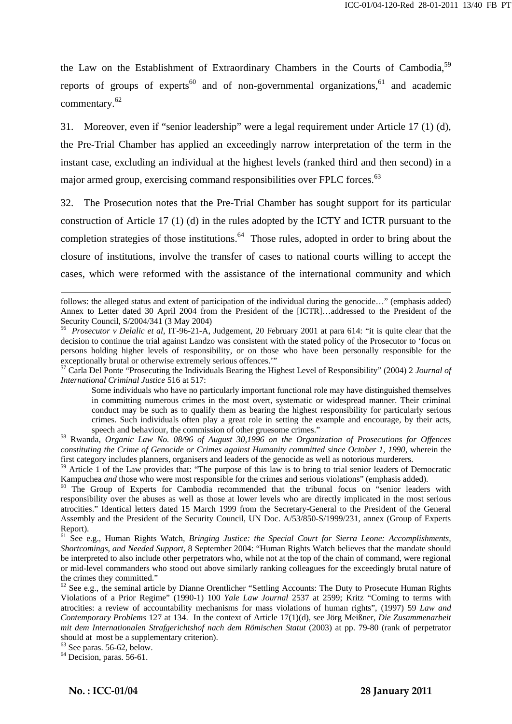the Law on the Establishment of Extraordinary Chambers in the Courts of Cambodia,<sup>59</sup> reports of groups of experts<sup>60</sup> and of non-governmental organizations, <sup>61</sup> and academic commentary.<sup>62</sup>

31. Moreover, even if "senior leadership" were a legal requirement under Article 17 (1) (d), the Pre-Trial Chamber has applied an exceedingly narrow interpretation of the term in the instant case, excluding an individual at the highest levels (ranked third and then second) in a major armed group, exercising command responsibilities over FPLC forces.<sup>63</sup>

32. The Prosecution notes that the Pre-Trial Chamber has sought support for its particular construction of Article 17 (1) (d) in the rules adopted by the ICTY and ICTR pursuant to the completion strategies of those institutions.<sup>64</sup> Those rules, adopted in order to bring about the closure of institutions, involve the transfer of cases to national courts willing to accept the cases, which were reformed with the assistance of the international community and which

*International Criminal Justice* 516 at 517:

Some individuals who have no particularly important functional role may have distinguished themselves in committing numerous crimes in the most overt, systematic or widespread manner. Their criminal conduct may be such as to qualify them as bearing the highest responsibility for particularly serious crimes. Such individuals often play a great role in setting the example and encourage, by their acts,

speech and behaviour, the commission of other gruesome crimes." 58 Rwanda, *Organic Law No. 08/96 of August 30,1996 on the Organization of Prosecutions for Offences constituting the Crime of Genocide or Crimes against Humanity committed since October 1, 1990*, wherein the first category includes planners, organisers and leaders of the genocide as well as notorious murderers.

 $59$  Article 1 of the Law provides that: "The purpose of this law is to bring to trial senior leaders of Democratic Kampuchea *and* those who were most responsible for the crimes and serious violations" (emphasis added).

<sup>60</sup> The Group of Experts for Cambodia recommended that the tribunal focus on "senior leaders with responsibility over the abuses as well as those at lower levels who are directly implicated in the most serious atrocities." Identical letters dated 15 March 1999 from the Secretary-General to the President of the General Assembly and the President of the Security Council, UN Doc. A/53/850-S/1999/231, annex (Group of Experts Report).

61 See e.g., Human Rights Watch, *Bringing Justice: the Special Court for Sierra Leone: Accomplishments, Shortcomings, and Needed Support*, 8 September 2004: "Human Rights Watch believes that the mandate should be interpreted to also include other perpetrators who, while not at the top of the chain of command, were regional or mid-level commanders who stood out above similarly ranking colleagues for the exceedingly brutal nature of the crimes they committed."

 $62$  See e.g., the seminal article by Dianne Orentlicher "Settling Accounts: The Duty to Prosecute Human Rights Violations of a Prior Regime" (1990-1) 100 *Yale Law Journal* 2537 at 2599; Kritz "Coming to terms with atrocities: a review of accountability mechanisms for mass violations of human rights", (1997) 59 *Law and Contemporary Problems* 127 at 134. In the context of Article 17(1)(d), see Jörg Meißner, *Die Zusammenarbeit mit dem Internationalen Strafgerichtshof nach dem Römischen Statut* (2003) at pp. 79-80 (rank of perpetrator should at most be a supplementary criterion).

 $\mathbf{r} = \mathbf{r} \cdot \mathbf{r}$  ,  $\mathbf{r} = \mathbf{r} \cdot \mathbf{r}$  ,  $\mathbf{r} = \mathbf{r} \cdot \mathbf{r}$  ,  $\mathbf{r} = \mathbf{r} \cdot \mathbf{r}$  ,  $\mathbf{r} = \mathbf{r} \cdot \mathbf{r}$  ,  $\mathbf{r} = \mathbf{r} \cdot \mathbf{r}$  ,  $\mathbf{r} = \mathbf{r} \cdot \mathbf{r}$  ,  $\mathbf{r} = \mathbf{r} \cdot \mathbf{r}$  ,  $\mathbf{r} = \mathbf{r$ 

 $63$  See paras. 56-62, below.

 $\overline{a}$ 

 $64$  Decision, paras. 56-61.

follows: the alleged status and extent of participation of the individual during the genocide..." (emphasis added) Annex to Letter dated 30 April 2004 from the President of the [ICTR]…addressed to the President of the Security Council, S/2004/341 (3 May 2004)

<sup>56</sup> *Prosecutor v Delalic et al,* IT-96-21-A, Judgement, 20 February 2001 at para 614: "it is quite clear that the decision to continue the trial against Landzo was consistent with the stated policy of the Prosecutor to 'focus on persons holding higher levels of responsibility, or on those who have been personally responsible for the exceptionally brutal or otherwise extremely serious offences.'"<br><sup>57</sup> Carla Del Ponte "Prosecuting the Individuals Bearing the Highest Level of Responsibility" (2004) 2 *Journal of*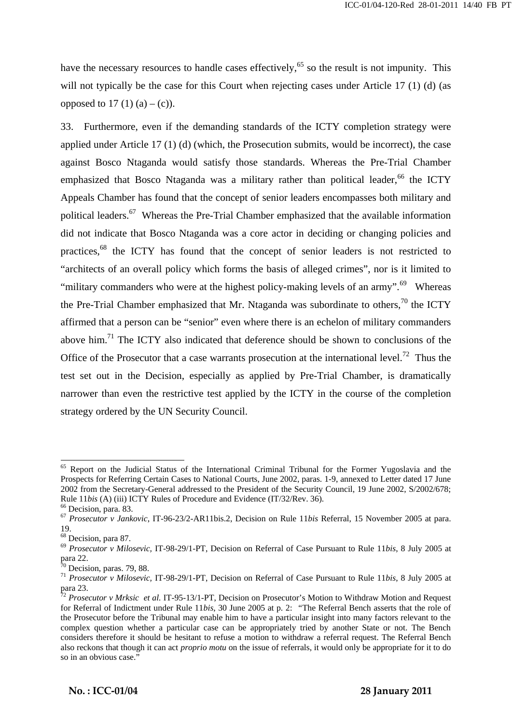have the necessary resources to handle cases effectively,<sup>65</sup> so the result is not impunity. This will not typically be the case for this Court when rejecting cases under Article 17 (1) (d) (as opposed to 17 (1) (a) – (c)).

33. Furthermore, even if the demanding standards of the ICTY completion strategy were applied under Article 17 (1) (d) (which, the Prosecution submits, would be incorrect), the case against Bosco Ntaganda would satisfy those standards. Whereas the Pre-Trial Chamber emphasized that Bosco Ntaganda was a military rather than political leader,  $66$  the ICTY Appeals Chamber has found that the concept of senior leaders encompasses both military and political leaders.<sup>67</sup> Whereas the Pre-Trial Chamber emphasized that the available information did not indicate that Bosco Ntaganda was a core actor in deciding or changing policies and practices.<sup>68</sup> the ICTY has found that the concept of senior leaders is not restricted to "architects of an overall policy which forms the basis of alleged crimes", nor is it limited to "military commanders who were at the highest policy-making levels of an army".<sup>69</sup> Whereas the Pre-Trial Chamber emphasized that Mr. Ntaganda was subordinate to others,<sup>70</sup> the ICTY affirmed that a person can be "senior" even where there is an echelon of military commanders above him.<sup>71</sup> The ICTY also indicated that deference should be shown to conclusions of the Office of the Prosecutor that a case warrants prosecution at the international level.<sup>72</sup> Thus the test set out in the Decision, especially as applied by Pre-Trial Chamber, is dramatically narrower than even the restrictive test applied by the ICTY in the course of the completion strategy ordered by the UN Security Council.

 $\overline{a}$ 

<sup>&</sup>lt;sup>65</sup> Report on the Judicial Status of the International Criminal Tribunal for the Former Yugoslavia and the Prospects for Referring Certain Cases to National Courts, June 2002, paras. 1-9, annexed to Letter dated 17 June 2002 from the Secretary-General addressed to the President of the Security Council, 19 June 2002, S/2002/678; Rule 11*bis* (A) (iii) ICTY Rules of Procedure and Evidence (IT/32/Rev. 36). <sup>66</sup> Decision, para. 83.

<sup>67</sup> *Prosecutor v Jankovic*, IT-96-23/2-AR11bis.2, Decision on Rule 11*bis* Referral, 15 November 2005 at para. 19.

<sup>68</sup> Decision, para 87.

<sup>69</sup> *Prosecutor v Milosevic,* IT-98-29/1-PT, Decision on Referral of Case Pursuant to Rule 11*bis*, 8 July 2005 at para 22.

 $70$  Decision, paras. 79, 88.

<sup>71</sup> *Prosecutor v Milosevic,* IT-98-29/1-PT, Decision on Referral of Case Pursuant to Rule 11*bis*, 8 July 2005 at para 23.

<sup>72</sup> *Prosecutor v Mrksic et al.* IT-95-13/1-PT, Decision on Prosecutor's Motion to Withdraw Motion and Request for Referral of Indictment under Rule 11*bis*, 30 June 2005 at p. 2: *"*The Referral Bench asserts that the role of the Prosecutor before the Tribunal may enable him to have a particular insight into many factors relevant to the complex question whether a particular case can be appropriately tried by another State or not. The Bench considers therefore it should be hesitant to refuse a motion to withdraw a referral request. The Referral Bench also reckons that though it can act *proprio motu* on the issue of referrals, it would only be appropriate for it to do so in an obvious case."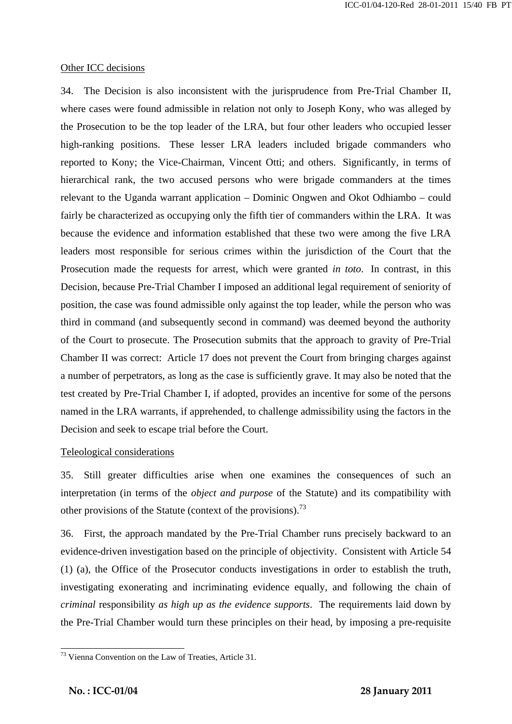#### Other ICC decisions

34. The Decision is also inconsistent with the jurisprudence from Pre-Trial Chamber II, where cases were found admissible in relation not only to Joseph Kony, who was alleged by the Prosecution to be the top leader of the LRA, but four other leaders who occupied lesser high-ranking positions. These lesser LRA leaders included brigade commanders who reported to Kony; the Vice-Chairman, Vincent Otti; and others. Significantly, in terms of hierarchical rank, the two accused persons who were brigade commanders at the times relevant to the Uganda warrant application – Dominic Ongwen and Okot Odhiambo – could fairly be characterized as occupying only the fifth tier of commanders within the LRA. It was because the evidence and information established that these two were among the five LRA leaders most responsible for serious crimes within the jurisdiction of the Court that the Prosecution made the requests for arrest, which were granted *in toto*. In contrast, in this Decision, because Pre-Trial Chamber I imposed an additional legal requirement of seniority of position, the case was found admissible only against the top leader, while the person who was third in command (and subsequently second in command) was deemed beyond the authority of the Court to prosecute. The Prosecution submits that the approach to gravity of Pre-Trial Chamber II was correct: Article 17 does not prevent the Court from bringing charges against a number of perpetrators, as long as the case is sufficiently grave. It may also be noted that the test created by Pre-Trial Chamber I, if adopted, provides an incentive for some of the persons named in the LRA warrants, if apprehended, to challenge admissibility using the factors in the Decision and seek to escape trial before the Court.

#### Teleological considerations

35. Still greater difficulties arise when one examines the consequences of such an interpretation (in terms of the *object and purpose* of the Statute) and its compatibility with other provisions of the Statute (context of the provisions).<sup>73</sup>

36. First, the approach mandated by the Pre-Trial Chamber runs precisely backward to an evidence-driven investigation based on the principle of objectivity. Consistent with Article 54 (1) (a), the Office of the Prosecutor conducts investigations in order to establish the truth, investigating exonerating and incriminating evidence equally, and following the chain of *criminal* responsibility *as high up as the evidence supports*. The requirements laid down by the Pre-Trial Chamber would turn these principles on their head, by imposing a pre-requisite

 $\overline{a}$  $73$  Vienna Convention on the Law of Treaties, Article 31.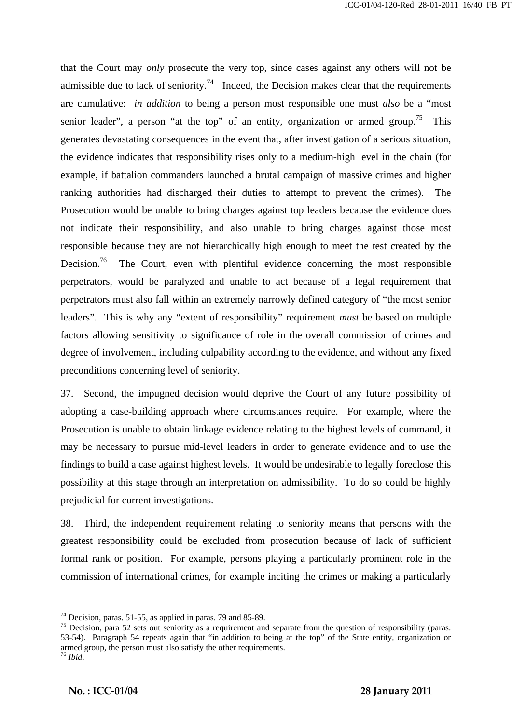that the Court may *only* prosecute the very top, since cases against any others will not be admissible due to lack of seniority.<sup>74</sup> Indeed, the Decision makes clear that the requirements are cumulative: *in addition* to being a person most responsible one must *also* be a "most senior leader", a person "at the top" of an entity, organization or armed group.<sup>75</sup> This generates devastating consequences in the event that, after investigation of a serious situation, the evidence indicates that responsibility rises only to a medium-high level in the chain (for example, if battalion commanders launched a brutal campaign of massive crimes and higher ranking authorities had discharged their duties to attempt to prevent the crimes). The Prosecution would be unable to bring charges against top leaders because the evidence does not indicate their responsibility, and also unable to bring charges against those most responsible because they are not hierarchically high enough to meet the test created by the Decision.<sup>76</sup> The Court, even with plentiful evidence concerning the most responsible perpetrators, would be paralyzed and unable to act because of a legal requirement that perpetrators must also fall within an extremely narrowly defined category of "the most senior leaders". This is why any "extent of responsibility" requirement *must* be based on multiple factors allowing sensitivity to significance of role in the overall commission of crimes and degree of involvement, including culpability according to the evidence, and without any fixed preconditions concerning level of seniority.

37. Second, the impugned decision would deprive the Court of any future possibility of adopting a case-building approach where circumstances require. For example, where the Prosecution is unable to obtain linkage evidence relating to the highest levels of command, it may be necessary to pursue mid-level leaders in order to generate evidence and to use the findings to build a case against highest levels. It would be undesirable to legally foreclose this possibility at this stage through an interpretation on admissibility. To do so could be highly prejudicial for current investigations.

38. Third, the independent requirement relating to seniority means that persons with the greatest responsibility could be excluded from prosecution because of lack of sufficient formal rank or position. For example, persons playing a particularly prominent role in the commission of international crimes, for example inciting the crimes or making a particularly

 $\mathbf{r} = \mathbf{r} \cdot \mathbf{r}$  ,  $\mathbf{r} = \mathbf{r} \cdot \mathbf{r}$  ,  $\mathbf{r} = \mathbf{r} \cdot \mathbf{r}$  ,  $\mathbf{r} = \mathbf{r} \cdot \mathbf{r}$  ,  $\mathbf{r} = \mathbf{r} \cdot \mathbf{r}$  ,  $\mathbf{r} = \mathbf{r} \cdot \mathbf{r}$  ,  $\mathbf{r} = \mathbf{r} \cdot \mathbf{r}$  ,  $\mathbf{r} = \mathbf{r} \cdot \mathbf{r}$  ,  $\mathbf{r} = \mathbf{r$ 

 $74$  Decision, paras. 51-55, as applied in paras. 79 and 85-89.

<sup>&</sup>lt;sup>75</sup> Decision, para 52 sets out seniority as a requirement and separate from the question of responsibility (paras. 53-54). Paragraph 54 repeats again that "in addition to being at the top" of the State entity, organization or armed group, the person must also satisfy the other requirements.

<sup>76</sup> *Ibid*.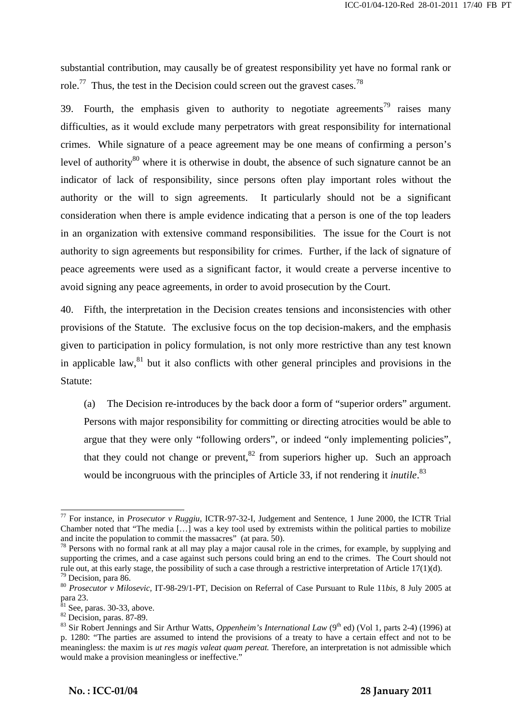substantial contribution, may causally be of greatest responsibility yet have no formal rank or role.<sup>77</sup> Thus, the test in the Decision could screen out the gravest cases.<sup>78</sup>

39. Fourth, the emphasis given to authority to negotiate agreements<sup>79</sup> raises many difficulties, as it would exclude many perpetrators with great responsibility for international crimes. While signature of a peace agreement may be one means of confirming a person's level of authority<sup>80</sup> where it is otherwise in doubt, the absence of such signature cannot be an indicator of lack of responsibility, since persons often play important roles without the authority or the will to sign agreements. It particularly should not be a significant consideration when there is ample evidence indicating that a person is one of the top leaders in an organization with extensive command responsibilities. The issue for the Court is not authority to sign agreements but responsibility for crimes. Further, if the lack of signature of peace agreements were used as a significant factor, it would create a perverse incentive to avoid signing any peace agreements, in order to avoid prosecution by the Court.

40. Fifth, the interpretation in the Decision creates tensions and inconsistencies with other provisions of the Statute. The exclusive focus on the top decision-makers, and the emphasis given to participation in policy formulation, is not only more restrictive than any test known in applicable law,  $81$  but it also conflicts with other general principles and provisions in the Statute:

(a) The Decision re-introduces by the back door a form of "superior orders" argument. Persons with major responsibility for committing or directing atrocities would be able to argue that they were only "following orders", or indeed "only implementing policies", that they could not change or prevent.<sup>82</sup> from superiors higher up. Such an approach would be incongruous with the principles of Article 33, if not rendering it *inutile*. 83

 $\overline{a}$ 

<sup>77</sup> For instance, in *Prosecutor v Ruggiu,* ICTR-97-32-I, Judgement and Sentence, 1 June 2000, the ICTR Trial Chamber noted that "The media […] was a key tool used by extremists within the political parties to mobilize and incite the population to commit the massacres" (at para. 50).

 $78$  Persons with no formal rank at all may play a major causal role in the crimes, for example, by supplying and supporting the crimes, and a case against such persons could bring an end to the crimes. The Court should not rule out, at this early stage, the possibility of such a case through a restrictive interpretation of Article 17(1)(d). 79 Decision, para 86.

<sup>80</sup> *Prosecutor v Milosevic,* IT-98-29/1-PT, Decision on Referral of Case Pursuant to Rule 11*bis*, 8 July 2005 at para 23.

 $81$  See, paras. 30-33, above.

<sup>&</sup>lt;sup>82</sup> Decision, paras. 87-89.

<sup>&</sup>lt;sup>83</sup> Sir Robert Jennings and Sir Arthur Watts, *Oppenheim's International Law* (9<sup>th</sup> ed) (Vol 1, parts 2-4) (1996) at p. 1280: "The parties are assumed to intend the provisions of a treaty to have a certain effect and not to be meaningless: the maxim is *ut res magis valeat quam pereat.* Therefore, an interpretation is not admissible which would make a provision meaningless or ineffective."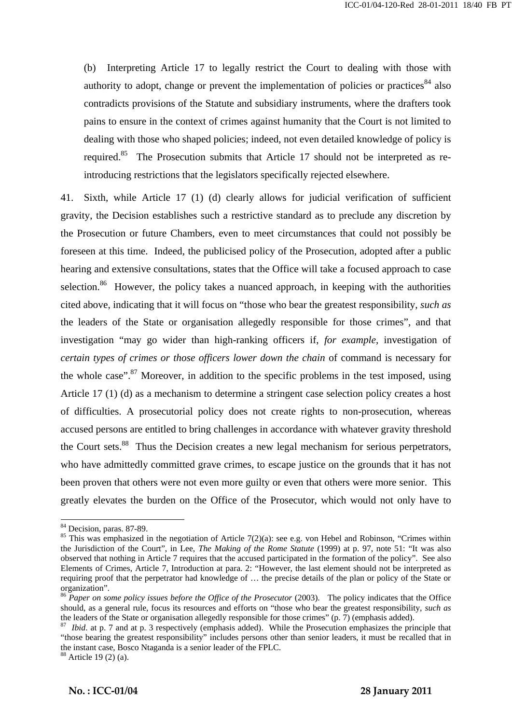(b) Interpreting Article 17 to legally restrict the Court to dealing with those with authority to adopt, change or prevent the implementation of policies or practices<sup>84</sup> also contradicts provisions of the Statute and subsidiary instruments, where the drafters took pains to ensure in the context of crimes against humanity that the Court is not limited to dealing with those who shaped policies; indeed, not even detailed knowledge of policy is required.<sup>85</sup> The Prosecution submits that Article 17 should not be interpreted as reintroducing restrictions that the legislators specifically rejected elsewhere.

41. Sixth, while Article 17 (1) (d) clearly allows for judicial verification of sufficient gravity, the Decision establishes such a restrictive standard as to preclude any discretion by the Prosecution or future Chambers, even to meet circumstances that could not possibly be foreseen at this time. Indeed, the publicised policy of the Prosecution, adopted after a public hearing and extensive consultations, states that the Office will take a focused approach to case selection.<sup>86</sup> However, the policy takes a nuanced approach, in keeping with the authorities cited above, indicating that it will focus on "those who bear the greatest responsibility, *such as* the leaders of the State or organisation allegedly responsible for those crimes", and that investigation "may go wider than high-ranking officers if, *for example*, investigation of *certain types of crimes or those officers lower down the chain* of command is necessary for the whole case". $87$  Moreover, in addition to the specific problems in the test imposed, using Article 17 (1) (d) as a mechanism to determine a stringent case selection policy creates a host of difficulties. A prosecutorial policy does not create rights to non-prosecution, whereas accused persons are entitled to bring challenges in accordance with whatever gravity threshold the Court sets.<sup>88</sup> Thus the Decision creates a new legal mechanism for serious perpetrators, who have admittedly committed grave crimes, to escape justice on the grounds that it has not been proven that others were not even more guilty or even that others were more senior. This greatly elevates the burden on the Office of the Prosecutor, which would not only have to

 $\overline{a}$ 

<sup>&</sup>lt;sup>84</sup> Decision, paras. 87-89.

<sup>&</sup>lt;sup>85</sup> This was emphasized in the negotiation of Article 7(2)(a): see e.g. von Hebel and Robinson, "Crimes within the Jurisdiction of the Court", in Lee, *The Making of the Rome Statute* (1999) at p. 97, note 51: "It was also observed that nothing in Article 7 requires that the accused participated in the formation of the policy". See also Elements of Crimes, Article 7, Introduction at para. 2: "However, the last element should not be interpreted as requiring proof that the perpetrator had knowledge of … the precise details of the plan or policy of the State or organization".

<sup>86</sup> *Paper on some policy issues before the Office of the Prosecutor* (2003). The policy indicates that the Office should, as a general rule, focus its resources and efforts on "those who bear the greatest responsibility, *such as* the leaders of the State or organisation allegedly responsible for those crimes" (p. 7) (emphasis added). the leaders of the State or organisation allegedly responsible for those crimes" (p. 7) (emphasis added).<br><sup>87</sup> *Ibid*. at p. 7 and at p. 3 respectively (emphasis added). While the Prosecution emphasizes the principle that

<sup>&</sup>quot;those bearing the greatest responsibility" includes persons other than senior leaders, it must be recalled that in the instant case, Bosco Ntaganda is a senior leader of the FPLC. 88 Article 19 (2) (a).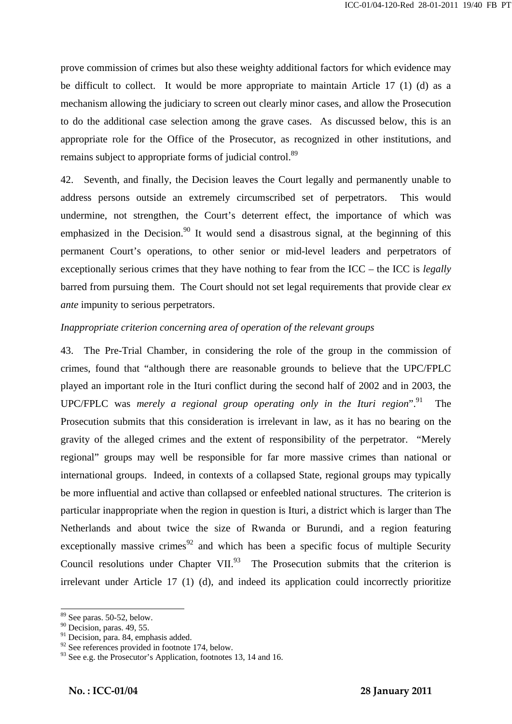prove commission of crimes but also these weighty additional factors for which evidence may be difficult to collect. It would be more appropriate to maintain Article 17 (1) (d) as a mechanism allowing the judiciary to screen out clearly minor cases, and allow the Prosecution to do the additional case selection among the grave cases. As discussed below, this is an appropriate role for the Office of the Prosecutor, as recognized in other institutions, and remains subject to appropriate forms of judicial control.<sup>89</sup>

42. Seventh, and finally, the Decision leaves the Court legally and permanently unable to address persons outside an extremely circumscribed set of perpetrators. This would undermine, not strengthen, the Court's deterrent effect, the importance of which was emphasized in the Decision.<sup>90</sup> It would send a disastrous signal, at the beginning of this permanent Court's operations, to other senior or mid-level leaders and perpetrators of exceptionally serious crimes that they have nothing to fear from the ICC – the ICC is *legally* barred from pursuing them. The Court should not set legal requirements that provide clear *ex ante* impunity to serious perpetrators.

#### *Inappropriate criterion concerning area of operation of the relevant groups*

43. The Pre-Trial Chamber, in considering the role of the group in the commission of crimes, found that "although there are reasonable grounds to believe that the UPC/FPLC played an important role in the Ituri conflict during the second half of 2002 and in 2003, the UPC/FPLC was *merely a regional group operating only in the Ituri region*<sup>",91</sup> The Prosecution submits that this consideration is irrelevant in law, as it has no bearing on the gravity of the alleged crimes and the extent of responsibility of the perpetrator. "Merely regional" groups may well be responsible for far more massive crimes than national or international groups. Indeed, in contexts of a collapsed State, regional groups may typically be more influential and active than collapsed or enfeebled national structures. The criterion is particular inappropriate when the region in question is Ituri, a district which is larger than The Netherlands and about twice the size of Rwanda or Burundi, and a region featuring exceptionally massive crimes<sup>92</sup> and which has been a specific focus of multiple Security Council resolutions under Chapter VII. $^{93}$  The Prosecution submits that the criterion is irrelevant under Article 17 (1) (d), and indeed its application could incorrectly prioritize

 $\overline{a}$ 89 See paras. 50-52, below.

 $90$  Decision, paras. 49, 55.

<sup>&</sup>lt;sup>91</sup> Decision, para. 84, emphasis added.

 $92$  See references provided in footnote 174, below.

 $93$  See e.g. the Prosecutor's Application, footnotes 13, 14 and 16.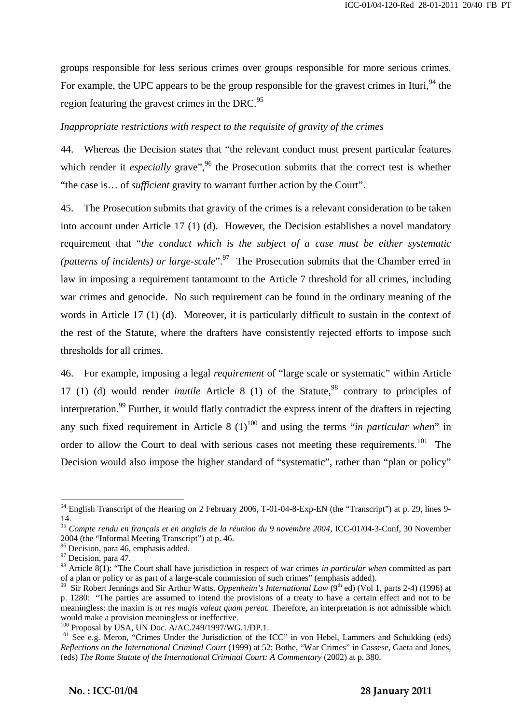groups responsible for less serious crimes over groups responsible for more serious crimes. For example, the UPC appears to be the group responsible for the gravest crimes in Ituri,<sup>94</sup> the region featuring the gravest crimes in the DRC.<sup>95</sup>

#### *Inappropriate restrictions with respect to the requisite of gravity of the crimes*

44. Whereas the Decision states that "the relevant conduct must present particular features which render it *especially* grave",<sup>96</sup> the Prosecution submits that the correct test is whether "the case is… of *sufficient* gravity to warrant further action by the Court".

45. The Prosecution submits that gravity of the crimes is a relevant consideration to be taken into account under Article 17 (1) (d). However, the Decision establishes a novel mandatory requirement that "*the conduct which is the subject of a case must be either systematic (patterns of incidents) or large-scale*".97 The Prosecution submits that the Chamber erred in law in imposing a requirement tantamount to the Article 7 threshold for all crimes, including war crimes and genocide. No such requirement can be found in the ordinary meaning of the words in Article 17 (1) (d). Moreover, it is particularly difficult to sustain in the context of the rest of the Statute, where the drafters have consistently rejected efforts to impose such thresholds for all crimes.

46. For example, imposing a legal *requirement* of "large scale or systematic" within Article 17 (1) (d) would render *inutile* Article 8 (1) of the Statute,<sup>98</sup> contrary to principles of interpretation.<sup>99</sup> Further, it would flatly contradict the express intent of the drafters in rejecting any such fixed requirement in Article 8  $(1)^{100}$  and using the terms "*in particular when*" in order to allow the Court to deal with serious cases not meeting these requirements.<sup>101</sup> The Decision would also impose the higher standard of "systematic", rather than "plan or policy"

 $\overline{a}$ 

 $94$  English Transcript of the Hearing on 2 February 2006, T-01-04-8-Exp-EN (the "Transcript") at p. 29, lines 9-14.

<sup>95</sup> *Compte rendu en français et en anglais de la réunion du 9 novembre 2004*, ICC-01/04-3-Conf, 30 November 2004 (the "Informal Meeting Transcript") at p. 46.

<sup>&</sup>lt;sup>96</sup> Decision, para 46, emphasis added.

<sup>&</sup>lt;sup>97</sup> Decision, para 47.

<sup>&</sup>lt;sup>98</sup> Article 8(1): "The Court shall have jurisdiction in respect of war crimes *in particular when* committed as part of a plan or policy or as part of a large-scale commission of such crimes" (emphasis added).

<sup>&</sup>lt;sup>99</sup> Sir Robert Jennings and Sir Arthur Watts, *Oppenheim's International Law* (9<sup>th</sup> ed) (Vol 1, parts 2-4) (1996) at p. 1280: "The parties are assumed to intend the provisions of a treaty to have a certain effect and not to be meaningless: the maxim is *ut res magis valeat quam pereat.* Therefore, an interpretation is not admissible which would make a provision meaningless or ineffective.<br><sup>100</sup> Proposal by USA, UN Doc. A/AC.249/1997/WG.1/DP.1.

<sup>&</sup>lt;sup>101</sup> See e.g. Meron, "Crimes Under the Jurisdiction of the ICC" in von Hebel, Lammers and Schukking (eds) *Reflections on the International Criminal Court* (1999) at 52; Bothe, "War Crimes" in Cassese, Gaeta and Jones, (eds) *The Rome Statute of the International Criminal Court: A Commentary* (2002) at p. 380.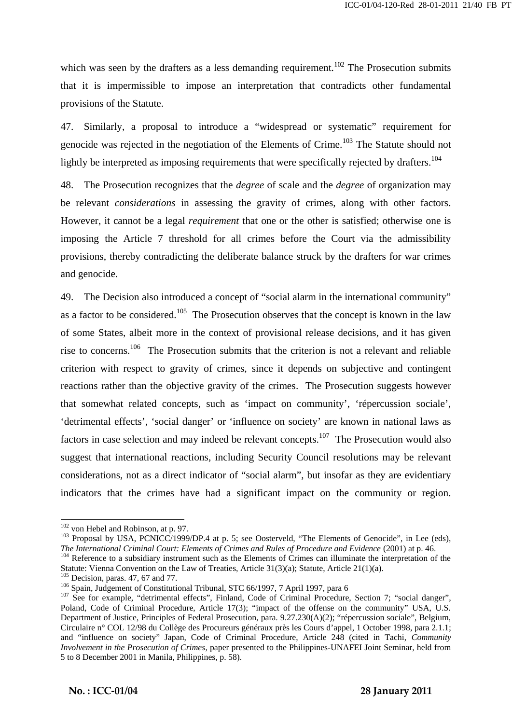which was seen by the drafters as a less demanding requirement.<sup>102</sup> The Prosecution submits that it is impermissible to impose an interpretation that contradicts other fundamental provisions of the Statute.

47. Similarly, a proposal to introduce a "widespread or systematic" requirement for genocide was rejected in the negotiation of the Elements of Crime.<sup>103</sup> The Statute should not lightly be interpreted as imposing requirements that were specifically rejected by drafters.<sup>104</sup>

48. The Prosecution recognizes that the *degree* of scale and the *degree* of organization may be relevant *considerations* in assessing the gravity of crimes, along with other factors. However, it cannot be a legal *requirement* that one or the other is satisfied; otherwise one is imposing the Article 7 threshold for all crimes before the Court via the admissibility provisions, thereby contradicting the deliberate balance struck by the drafters for war crimes and genocide.

49. The Decision also introduced a concept of "social alarm in the international community" as a factor to be considered.<sup>105</sup> The Prosecution observes that the concept is known in the law of some States, albeit more in the context of provisional release decisions, and it has given rise to concerns.<sup>106</sup> The Prosecution submits that the criterion is not a relevant and reliable criterion with respect to gravity of crimes, since it depends on subjective and contingent reactions rather than the objective gravity of the crimes. The Prosecution suggests however that somewhat related concepts, such as 'impact on community', 'répercussion sociale', 'detrimental effects', 'social danger' or 'influence on society' are known in national laws as factors in case selection and may indeed be relevant concepts.<sup>107</sup> The Prosecution would also suggest that international reactions, including Security Council resolutions may be relevant considerations, not as a direct indicator of "social alarm", but insofar as they are evidentiary indicators that the crimes have had a significant impact on the community or region.

 $102$  von Hebel and Robinson, at p. 97.

 $103$  Proposal by USA, PCNICC/1999/DP.4 at p. 5; see Oosterveld, "The Elements of Genocide", in Lee (eds),

The International Criminal Court: Elements of Crimes and Rules of Procedure and Evidence (2001) at p. 46.<br><sup>104</sup> Reference to a subsidiary instrument such as the Elements of Crimes can illuminate the interpretation of the

<sup>&</sup>lt;sup>105</sup> Decision, paras. 47, 67 and 77.<br><sup>106</sup> Spain, Judgement of Constitutional Tribunal, STC 66/1997, 7 April 1997, para 6<br><sup>107</sup> See for example, "detrimental effects", Finland, Code of Criminal Procedure, Section 7; "soc Poland, Code of Criminal Procedure, Article 17(3); "impact of the offense on the community" USA, U.S. Department of Justice, Principles of Federal Prosecution, para. 9.27.230(A)(2); "répercussion sociale", Belgium, Circulaire n° COL 12/98 du Collège des Procureurs généraux près les Cours d'appel, 1 October 1998, para 2.1.1; and "influence on society" Japan, Code of Criminal Procedure, Article 248 (cited in Tachi, *Community Involvement in the Prosecution of Crimes*, paper presented to the Philippines-UNAFEI Joint Seminar, held from 5 to 8 December 2001 in Manila, Philippines, p. 58).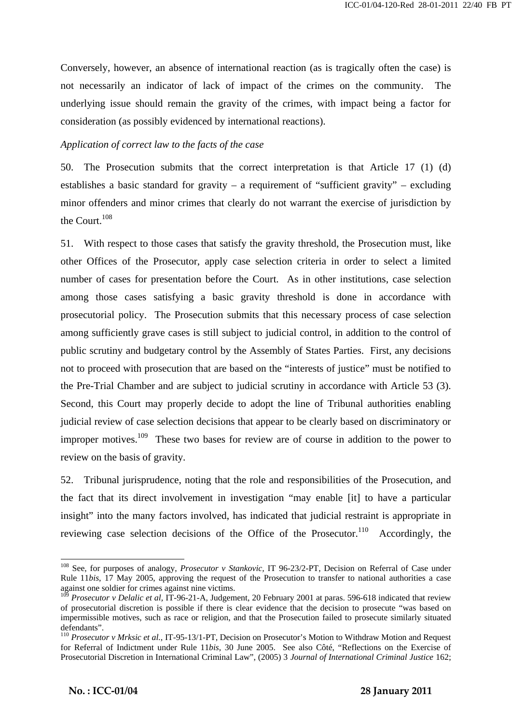Conversely, however, an absence of international reaction (as is tragically often the case) is not necessarily an indicator of lack of impact of the crimes on the community. The underlying issue should remain the gravity of the crimes, with impact being a factor for consideration (as possibly evidenced by international reactions).

#### *Application of correct law to the facts of the case*

50. The Prosecution submits that the correct interpretation is that Article 17 (1) (d) establishes a basic standard for gravity – a requirement of "sufficient gravity" – excluding minor offenders and minor crimes that clearly do not warrant the exercise of jurisdiction by the Court.<sup>108</sup>

51. With respect to those cases that satisfy the gravity threshold, the Prosecution must, like other Offices of the Prosecutor, apply case selection criteria in order to select a limited number of cases for presentation before the Court. As in other institutions, case selection among those cases satisfying a basic gravity threshold is done in accordance with prosecutorial policy. The Prosecution submits that this necessary process of case selection among sufficiently grave cases is still subject to judicial control, in addition to the control of public scrutiny and budgetary control by the Assembly of States Parties. First, any decisions not to proceed with prosecution that are based on the "interests of justice" must be notified to the Pre-Trial Chamber and are subject to judicial scrutiny in accordance with Article 53 (3). Second, this Court may properly decide to adopt the line of Tribunal authorities enabling judicial review of case selection decisions that appear to be clearly based on discriminatory or improper motives.<sup>109</sup> These two bases for review are of course in addition to the power to review on the basis of gravity.

52. Tribunal jurisprudence, noting that the role and responsibilities of the Prosecution, and the fact that its direct involvement in investigation "may enable [it] to have a particular insight" into the many factors involved, has indicated that judicial restraint is appropriate in reviewing case selection decisions of the Office of the Prosecutor.<sup>110</sup> Accordingly, the

 $\mathbf{r} = \mathbf{r} \cdot \mathbf{r}$  ,  $\mathbf{r} = \mathbf{r} \cdot \mathbf{r}$  ,  $\mathbf{r} = \mathbf{r} \cdot \mathbf{r}$  ,  $\mathbf{r} = \mathbf{r} \cdot \mathbf{r}$  ,  $\mathbf{r} = \mathbf{r} \cdot \mathbf{r}$  ,  $\mathbf{r} = \mathbf{r} \cdot \mathbf{r}$  ,  $\mathbf{r} = \mathbf{r} \cdot \mathbf{r}$  ,  $\mathbf{r} = \mathbf{r} \cdot \mathbf{r}$  ,  $\mathbf{r} = \mathbf{r$ 

<sup>108</sup> See, for purposes of analogy, *Prosecutor v Stankovic,* IT 96-23/2-PT, Decision on Referral of Case under Rule 11*bis*, 17 May 2005, approving the request of the Prosecution to transfer to national authorities a case against one soldier for crimes against nine victims.

<sup>&</sup>lt;sup>109</sup> *Prosecutor v Delalic et al, IT-96-21-A, Judgement, 20 February 2001 at paras.* 596-618 indicated that review of prosecutorial discretion is possible if there is clear evidence that the decision to prosecute "was based on impermissible motives, such as race or religion, and that the Prosecution failed to prosecute similarly situated defendants".

<sup>110</sup> *Prosecutor v Mrksic et al.,* IT-95-13/1-PT, Decision on Prosecutor's Motion to Withdraw Motion and Request for Referral of Indictment under Rule 11*bis*, 30 June 2005. See also Côté, "Reflections on the Exercise of Prosecutorial Discretion in International Criminal Law", (2005) 3 *Journal of International Criminal Justice* 162;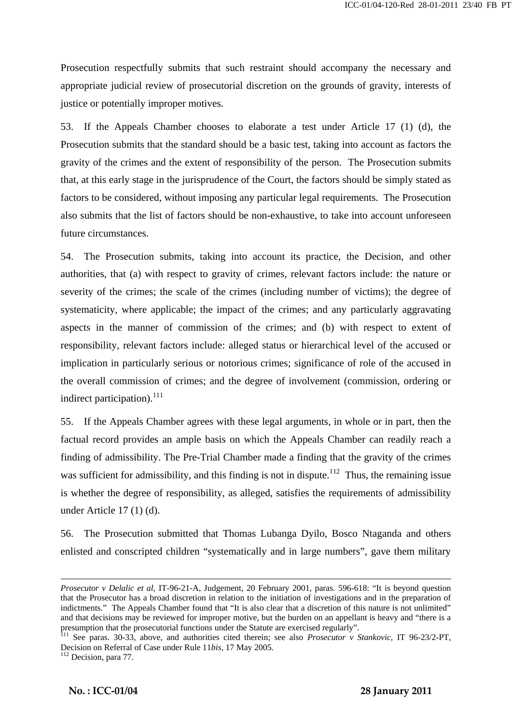Prosecution respectfully submits that such restraint should accompany the necessary and appropriate judicial review of prosecutorial discretion on the grounds of gravity, interests of justice or potentially improper motives.

53. If the Appeals Chamber chooses to elaborate a test under Article 17 (1) (d), the Prosecution submits that the standard should be a basic test, taking into account as factors the gravity of the crimes and the extent of responsibility of the person. The Prosecution submits that, at this early stage in the jurisprudence of the Court, the factors should be simply stated as factors to be considered, without imposing any particular legal requirements. The Prosecution also submits that the list of factors should be non-exhaustive, to take into account unforeseen future circumstances.

54. The Prosecution submits, taking into account its practice, the Decision, and other authorities, that (a) with respect to gravity of crimes, relevant factors include: the nature or severity of the crimes; the scale of the crimes (including number of victims); the degree of systematicity, where applicable; the impact of the crimes; and any particularly aggravating aspects in the manner of commission of the crimes; and (b) with respect to extent of responsibility, relevant factors include: alleged status or hierarchical level of the accused or implication in particularly serious or notorious crimes; significance of role of the accused in the overall commission of crimes; and the degree of involvement (commission, ordering or indirect participation).<sup>111</sup>

55. If the Appeals Chamber agrees with these legal arguments, in whole or in part, then the factual record provides an ample basis on which the Appeals Chamber can readily reach a finding of admissibility. The Pre-Trial Chamber made a finding that the gravity of the crimes was sufficient for admissibility, and this finding is not in dispute.<sup>112</sup> Thus, the remaining issue is whether the degree of responsibility, as alleged, satisfies the requirements of admissibility under Article 17 (1) (d).

56. The Prosecution submitted that Thomas Lubanga Dyilo, Bosco Ntaganda and others enlisted and conscripted children "systematically and in large numbers", gave them military

 $\mathbf{r} = \mathbf{r} \cdot \mathbf{r}$  ,  $\mathbf{r} = \mathbf{r} \cdot \mathbf{r}$  ,  $\mathbf{r} = \mathbf{r} \cdot \mathbf{r}$  ,  $\mathbf{r} = \mathbf{r} \cdot \mathbf{r}$  ,  $\mathbf{r} = \mathbf{r} \cdot \mathbf{r}$  ,  $\mathbf{r} = \mathbf{r} \cdot \mathbf{r}$  ,  $\mathbf{r} = \mathbf{r} \cdot \mathbf{r}$  ,  $\mathbf{r} = \mathbf{r} \cdot \mathbf{r}$  ,  $\mathbf{r} = \mathbf{r$ 

*Prosecutor v Delalic et al,* IT-96-21-A, Judgement, 20 February 2001, paras. 596-618: "It is beyond question that the Prosecutor has a broad discretion in relation to the initiation of investigations and in the preparation of indictments." The Appeals Chamber found that "It is also clear that a discretion of this nature is not unlimited" and that decisions may be reviewed for improper motive, but the burden on an appellant is heavy and "there is a presumption that the prosecutorial functions under the Statute are exercised regularly".<br><sup>111</sup> See paras. 30-33, above, and authorities cited therein; see also *Prosecutor v Stankovic*, IT 96-23/2-PT,

Decision on Referral of Case under Rule 11*bis*, 17 May 2005. 112 Decision, para 77.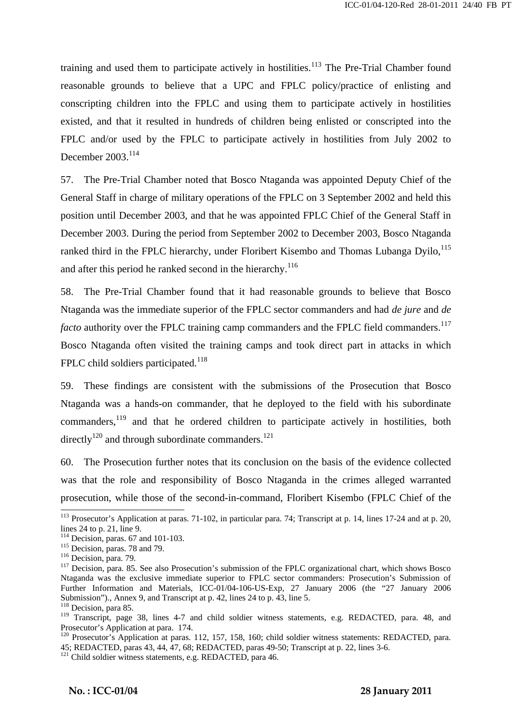training and used them to participate actively in hostilities.<sup>113</sup> The Pre-Trial Chamber found reasonable grounds to believe that a UPC and FPLC policy/practice of enlisting and conscripting children into the FPLC and using them to participate actively in hostilities existed, and that it resulted in hundreds of children being enlisted or conscripted into the FPLC and/or used by the FPLC to participate actively in hostilities from July 2002 to December 2003.<sup>114</sup>

57. The Pre-Trial Chamber noted that Bosco Ntaganda was appointed Deputy Chief of the General Staff in charge of military operations of the FPLC on 3 September 2002 and held this position until December 2003, and that he was appointed FPLC Chief of the General Staff in December 2003. During the period from September 2002 to December 2003, Bosco Ntaganda ranked third in the FPLC hierarchy, under Floribert Kisembo and Thomas Lubanga Dvilo.<sup>115</sup> and after this period he ranked second in the hierarchy.<sup>116</sup>

58. The Pre-Trial Chamber found that it had reasonable grounds to believe that Bosco Ntaganda was the immediate superior of the FPLC sector commanders and had *de jure* and *de facto* authority over the FPLC training camp commanders and the FPLC field commanders.<sup>117</sup> Bosco Ntaganda often visited the training camps and took direct part in attacks in which FPLC child soldiers participated.<sup>118</sup>

59. These findings are consistent with the submissions of the Prosecution that Bosco Ntaganda was a hands-on commander, that he deployed to the field with his subordinate commanders,119 and that he ordered children to participate actively in hostilities, both directly<sup>120</sup> and through subordinate commanders.<sup>121</sup>

60. The Prosecution further notes that its conclusion on the basis of the evidence collected was that the role and responsibility of Bosco Ntaganda in the crimes alleged warranted prosecution, while those of the second-in-command, Floribert Kisembo (FPLC Chief of the

 $\overline{a}$ 

 $113$  Prosecutor's Application at paras. 71-102, in particular para. 74; Transcript at p. 14, lines 17-24 and at p. 20, lines 24 to p. 21, line 9.<br><sup>114</sup> Decision, paras. 67 and 101-103.

<sup>115</sup> Decision, paras. 78 and 79.<br><sup>116</sup> Decision, para. 79.<br><sup>117</sup> Decision, para. 85. See also Prosecution's submission of the FPLC organizational chart, which shows Bosco Ntaganda was the exclusive immediate superior to FPLC sector commanders: Prosecution's Submission of Further Information and Materials, ICC-01/04-106-US-Exp, 27 January 2006 (the "27 January 2006 Submission")., Annex 9, and Transcript at p. 42, lines 24 to p. 43, line 5.

<sup>&</sup>lt;sup>118</sup> Decision, para 85.

<sup>119</sup> Transcript, page 38, lines 4-7 and child soldier witness statements, e.g. REDACTED, para. 48, and Prosecutor's Application at para. 174.

<sup>&</sup>lt;sup>120</sup> Prosecutor's Application at paras. 112, 157, 158, 160; child soldier witness statements: REDACTED, para. 45; REDACTED, paras 43, 44, 47, 68; REDACTED, paras 49-50; Transcript at p. 22, lines 3-6.

 $121$  Child soldier witness statements, e.g. REDACTED, para 46.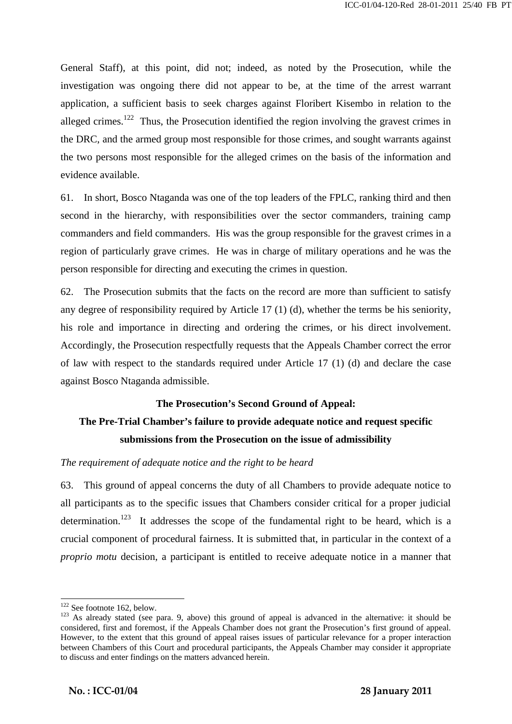General Staff), at this point, did not; indeed, as noted by the Prosecution, while the investigation was ongoing there did not appear to be, at the time of the arrest warrant application, a sufficient basis to seek charges against Floribert Kisembo in relation to the alleged crimes.<sup>122</sup> Thus, the Prosecution identified the region involving the gravest crimes in the DRC, and the armed group most responsible for those crimes, and sought warrants against the two persons most responsible for the alleged crimes on the basis of the information and evidence available.

61. In short, Bosco Ntaganda was one of the top leaders of the FPLC, ranking third and then second in the hierarchy, with responsibilities over the sector commanders, training camp commanders and field commanders. His was the group responsible for the gravest crimes in a region of particularly grave crimes. He was in charge of military operations and he was the person responsible for directing and executing the crimes in question.

62. The Prosecution submits that the facts on the record are more than sufficient to satisfy any degree of responsibility required by Article 17 (1) (d), whether the terms be his seniority, his role and importance in directing and ordering the crimes, or his direct involvement. Accordingly, the Prosecution respectfully requests that the Appeals Chamber correct the error of law with respect to the standards required under Article 17 (1) (d) and declare the case against Bosco Ntaganda admissible.

# **The Prosecution's Second Ground of Appeal: The Pre-Trial Chamber's failure to provide adequate notice and request specific**

# **submissions from the Prosecution on the issue of admissibility**

# *The requirement of adequate notice and the right to be heard*

63. This ground of appeal concerns the duty of all Chambers to provide adequate notice to all participants as to the specific issues that Chambers consider critical for a proper judicial determination.<sup>123</sup> It addresses the scope of the fundamental right to be heard, which is a crucial component of procedural fairness. It is submitted that, in particular in the context of a *proprio motu* decision, a participant is entitled to receive adequate notice in a manner that

<sup>&</sup>lt;sup>122</sup> See footnote 162, below.

 $123$  As already stated (see para. 9, above) this ground of appeal is advanced in the alternative: it should be considered, first and foremost, if the Appeals Chamber does not grant the Prosecution's first ground of appeal. However, to the extent that this ground of appeal raises issues of particular relevance for a proper interaction between Chambers of this Court and procedural participants, the Appeals Chamber may consider it appropriate to discuss and enter findings on the matters advanced herein.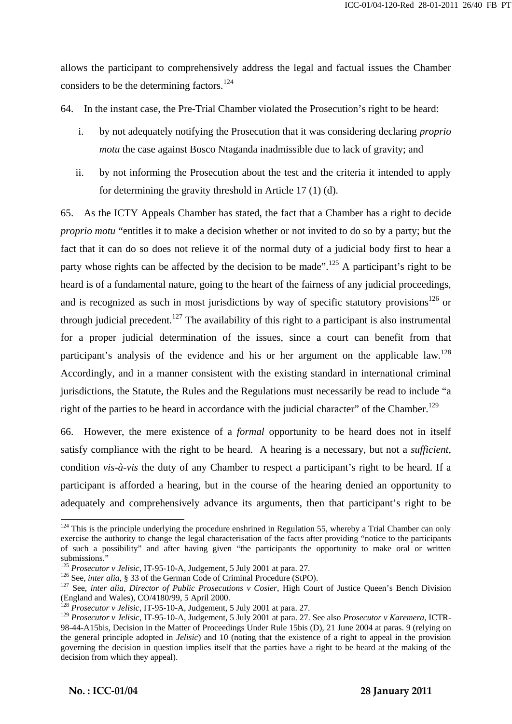allows the participant to comprehensively address the legal and factual issues the Chamber considers to be the determining factors.<sup>124</sup>

64. In the instant case, the Pre-Trial Chamber violated the Prosecution's right to be heard:

- i. by not adequately notifying the Prosecution that it was considering declaring *proprio motu* the case against Bosco Ntaganda inadmissible due to lack of gravity; and
- ii. by not informing the Prosecution about the test and the criteria it intended to apply for determining the gravity threshold in Article 17 (1) (d).

65. As the ICTY Appeals Chamber has stated, the fact that a Chamber has a right to decide *proprio motu* "entitles it to make a decision whether or not invited to do so by a party; but the fact that it can do so does not relieve it of the normal duty of a judicial body first to hear a party whose rights can be affected by the decision to be made".<sup>125</sup> A participant's right to be heard is of a fundamental nature, going to the heart of the fairness of any judicial proceedings, and is recognized as such in most jurisdictions by way of specific statutory provisions<sup>126</sup> or through judicial precedent.<sup>127</sup> The availability of this right to a participant is also instrumental for a proper judicial determination of the issues, since a court can benefit from that participant's analysis of the evidence and his or her argument on the applicable law.<sup>128</sup> Accordingly, and in a manner consistent with the existing standard in international criminal jurisdictions, the Statute, the Rules and the Regulations must necessarily be read to include "a right of the parties to be heard in accordance with the judicial character" of the Chamber.<sup>129</sup>

66. However, the mere existence of a *formal* opportunity to be heard does not in itself satisfy compliance with the right to be heard. A hearing is a necessary, but not a *sufficient*, condition *vis-à-vis* the duty of any Chamber to respect a participant's right to be heard. If a participant is afforded a hearing, but in the course of the hearing denied an opportunity to adequately and comprehensively advance its arguments, then that participant's right to be

 $\mathbf{r} = \mathbf{r} \cdot \mathbf{r}$  ,  $\mathbf{r} = \mathbf{r} \cdot \mathbf{r}$  ,  $\mathbf{r} = \mathbf{r} \cdot \mathbf{r}$  ,  $\mathbf{r} = \mathbf{r} \cdot \mathbf{r}$  ,  $\mathbf{r} = \mathbf{r} \cdot \mathbf{r}$  ,  $\mathbf{r} = \mathbf{r} \cdot \mathbf{r}$  ,  $\mathbf{r} = \mathbf{r} \cdot \mathbf{r}$  ,  $\mathbf{r} = \mathbf{r} \cdot \mathbf{r}$  ,  $\mathbf{r} = \mathbf{r$ 

 $124$  This is the principle underlying the procedure enshrined in Regulation 55, whereby a Trial Chamber can only exercise the authority to change the legal characterisation of the facts after providing "notice to the participants of such a possibility" and after having given "the participants the opportunity to make oral or written submissions."<br><sup>125</sup> Prosecutor v Jelisic, IT-95-10-A, Judgement, 5 July 2001 at para. 27.

<sup>&</sup>lt;sup>126</sup> See, *inter alia*, § 33 of the German Code of Criminal Procedure (StPO).<br><sup>127</sup> See, *inter alia, Director of Public Prosecutions v Cosier*, High Court of Justice Queen's Bench Division (England and Wales), CO/4180/99, 5 April 2000.

<sup>&</sup>lt;sup>128</sup> *Prosecutor v Jelisic*, IT-95-10-A, Judgement, 5 July 2001 at para. 27.

<sup>129</sup> *Prosecutor v Jelisic*, IT-95-10-A, Judgement, 5 July 2001 at para. 27. See also *Prosecutor v Karemera*, ICTR-98-44-A15bis, Decision in the Matter of Proceedings Under Rule 15bis (D), 21 June 2004 at paras. 9 (relying on the general principle adopted in *Jelisic*) and 10 (noting that the existence of a right to appeal in the provision governing the decision in question implies itself that the parties have a right to be heard at the making of the decision from which they appeal).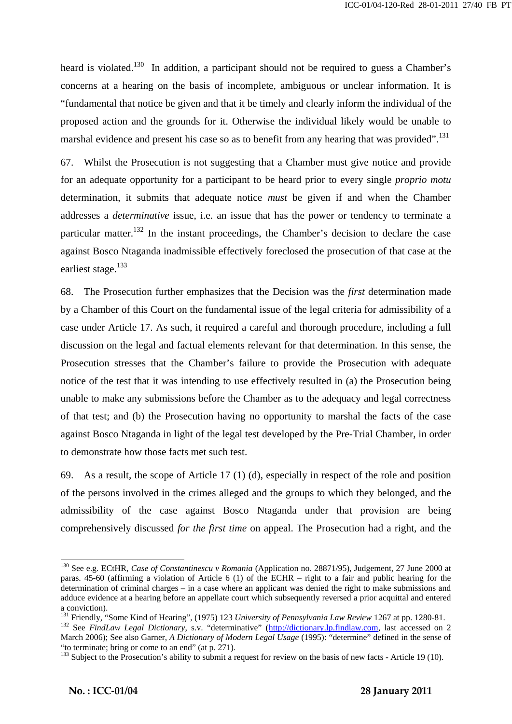heard is violated.<sup>130</sup> In addition, a participant should not be required to guess a Chamber's concerns at a hearing on the basis of incomplete, ambiguous or unclear information. It is "fundamental that notice be given and that it be timely and clearly inform the individual of the proposed action and the grounds for it. Otherwise the individual likely would be unable to marshal evidence and present his case so as to benefit from any hearing that was provided".<sup>131</sup>

67. Whilst the Prosecution is not suggesting that a Chamber must give notice and provide for an adequate opportunity for a participant to be heard prior to every single *proprio motu* determination, it submits that adequate notice *must* be given if and when the Chamber addresses a *determinative* issue, i.e. an issue that has the power or tendency to terminate a particular matter.<sup>132</sup> In the instant proceedings, the Chamber's decision to declare the case against Bosco Ntaganda inadmissible effectively foreclosed the prosecution of that case at the earliest stage.<sup>133</sup>

68. The Prosecution further emphasizes that the Decision was the *first* determination made by a Chamber of this Court on the fundamental issue of the legal criteria for admissibility of a case under Article 17. As such, it required a careful and thorough procedure, including a full discussion on the legal and factual elements relevant for that determination. In this sense, the Prosecution stresses that the Chamber's failure to provide the Prosecution with adequate notice of the test that it was intending to use effectively resulted in (a) the Prosecution being unable to make any submissions before the Chamber as to the adequacy and legal correctness of that test; and (b) the Prosecution having no opportunity to marshal the facts of the case against Bosco Ntaganda in light of the legal test developed by the Pre-Trial Chamber, in order to demonstrate how those facts met such test.

69. As a result, the scope of Article 17 (1) (d), especially in respect of the role and position of the persons involved in the crimes alleged and the groups to which they belonged, and the admissibility of the case against Bosco Ntaganda under that provision are being comprehensively discussed *for the first time* on appeal. The Prosecution had a right, and the

 $\mathbf{r} = \mathbf{r} \cdot \mathbf{r}$  ,  $\mathbf{r} = \mathbf{r} \cdot \mathbf{r}$  ,  $\mathbf{r} = \mathbf{r} \cdot \mathbf{r}$  ,  $\mathbf{r} = \mathbf{r} \cdot \mathbf{r}$  ,  $\mathbf{r} = \mathbf{r} \cdot \mathbf{r}$  ,  $\mathbf{r} = \mathbf{r} \cdot \mathbf{r}$  ,  $\mathbf{r} = \mathbf{r} \cdot \mathbf{r}$  ,  $\mathbf{r} = \mathbf{r} \cdot \mathbf{r}$  ,  $\mathbf{r} = \mathbf{r$ 

<sup>130</sup> See e.g. ECtHR, *Case of Constantinescu v Romania* (Application no. 28871/95), Judgement, 27 June 2000 at paras. 45-60 (affirming a violation of Article 6 (1) of the ECHR – right to a fair and public hearing for the determination of criminal charges – in a case where an applicant was denied the right to make submissions and adduce evidence at a hearing before an appellate court which subsequently reversed a prior acquittal and entered a conviction).

<sup>&</sup>lt;sup>131</sup> Friendly, "Some Kind of Hearing", (1975) 123 *University of Pennsylvania Law Review* 1267 at pp. 1280-81.<br><sup>132</sup> See *FindLaw Legal Dictionary*, s.v. "determinative" (http://dictionary.lp.findlaw.com, last accessed o

March 2006); See also Garner, *A Dictionary of Modern Legal Usage* (1995): "determine" defined in the sense of "to terminate; bring or come to an end" (at p. 271).

<sup>&</sup>lt;sup>133</sup> Subject to the Prosecution's ability to submit a request for review on the basis of new facts - Article 19 (10).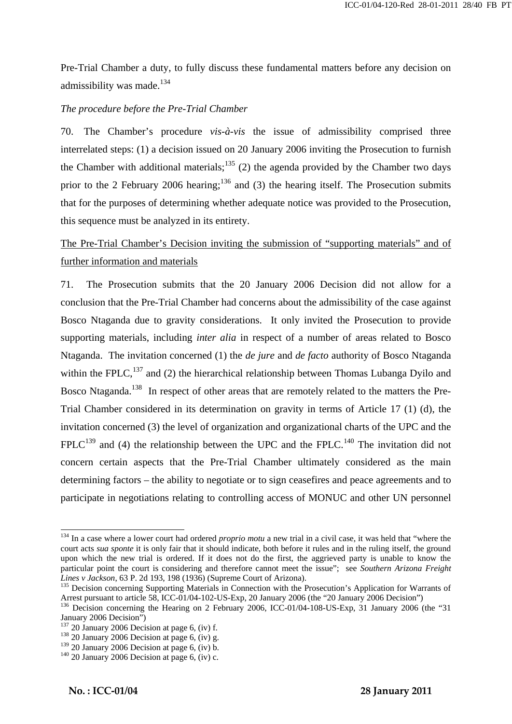Pre-Trial Chamber a duty, to fully discuss these fundamental matters before any decision on admissibility was made.<sup>134</sup>

## *The procedure before the Pre-Trial Chamber*

70. The Chamber's procedure *vis-à-vis* the issue of admissibility comprised three interrelated steps: (1) a decision issued on 20 January 2006 inviting the Prosecution to furnish the Chamber with additional materials;<sup>135</sup> (2) the agenda provided by the Chamber two days prior to the 2 February 2006 hearing;<sup>136</sup> and (3) the hearing itself. The Prosecution submits that for the purposes of determining whether adequate notice was provided to the Prosecution, this sequence must be analyzed in its entirety.

# The Pre-Trial Chamber's Decision inviting the submission of "supporting materials" and of further information and materials

71. The Prosecution submits that the 20 January 2006 Decision did not allow for a conclusion that the Pre-Trial Chamber had concerns about the admissibility of the case against Bosco Ntaganda due to gravity considerations. It only invited the Prosecution to provide supporting materials, including *inter alia* in respect of a number of areas related to Bosco Ntaganda. The invitation concerned (1) the *de jure* and *de facto* authority of Bosco Ntaganda within the FPLC,  $^{137}$  and (2) the hierarchical relationship between Thomas Lubanga Dyilo and Bosco Ntaganda.<sup>138</sup> In respect of other areas that are remotely related to the matters the Pre-Trial Chamber considered in its determination on gravity in terms of Article 17 (1) (d), the invitation concerned (3) the level of organization and organizational charts of the UPC and the  $FPLC<sup>139</sup>$  and (4) the relationship between the UPC and the FPLC.<sup>140</sup> The invitation did not concern certain aspects that the Pre-Trial Chamber ultimately considered as the main determining factors – the ability to negotiate or to sign ceasefires and peace agreements and to participate in negotiations relating to controlling access of MONUC and other UN personnel

 $\mathbf{r} = \mathbf{r} \cdot \mathbf{r}$  ,  $\mathbf{r} = \mathbf{r} \cdot \mathbf{r}$  ,  $\mathbf{r} = \mathbf{r} \cdot \mathbf{r}$  ,  $\mathbf{r} = \mathbf{r} \cdot \mathbf{r}$  ,  $\mathbf{r} = \mathbf{r} \cdot \mathbf{r}$  ,  $\mathbf{r} = \mathbf{r} \cdot \mathbf{r}$  ,  $\mathbf{r} = \mathbf{r} \cdot \mathbf{r}$  ,  $\mathbf{r} = \mathbf{r} \cdot \mathbf{r}$  ,  $\mathbf{r} = \mathbf{r$ 

<sup>&</sup>lt;sup>134</sup> In a case where a lower court had ordered *proprio motu* a new trial in a civil case, it was held that "where the court acts *sua sponte* it is only fair that it should indicate, both before it rules and in the ruling itself, the ground upon which the new trial is ordered. If it does not do the first, the aggrieved party is unable to know the particular point the court is considering and therefore cannot meet the issue"; see *Southern Arizona Freight Lines v Jackson*, 63 P. 2d 193, 198 (1936) (Supreme Court of Arizona).

<sup>&</sup>lt;sup>135</sup> Decision concerning Supporting Materials in Connection with the Prosecution's Application for Warrants of Arrest pursuant to article 58, ICC-01/04-102-US-Exp, 20 January 2006 (the "20 January 2006 Decision")

<sup>&</sup>lt;sup>136</sup> Decision concerning the Hearing on 2 February 2006, ICC-01/04-108-US-Exp, 31 January 2006 (the "31 January 2006 Decision")<br><sup>137</sup> 20 January 2006 Decision at page 6, (iv) f.

 $138$  20 January 2006 Decision at page 6, (iv) g.

<sup>&</sup>lt;sup>139</sup> 20 January 2006 Decision at page 6, (iv) b.<br><sup>140</sup> 20 January 2006 Decision at page 6, (iv) c.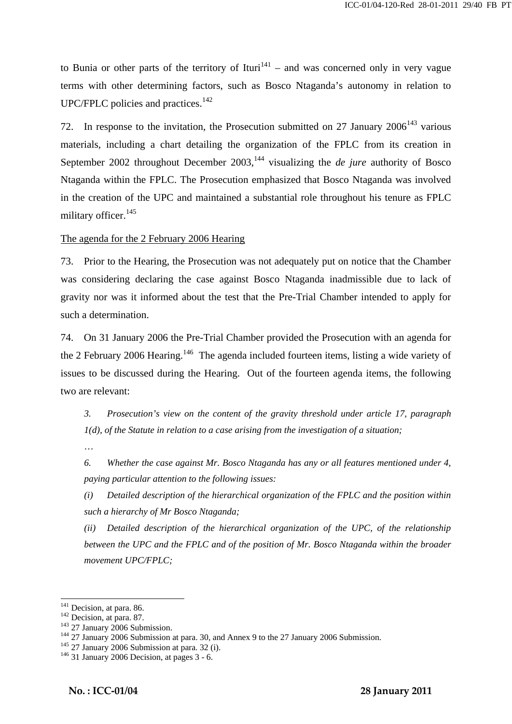to Bunia or other parts of the territory of Ituri<sup>141</sup> – and was concerned only in very vague terms with other determining factors, such as Bosco Ntaganda's autonomy in relation to  $UPC/FPLC$  policies and practices.<sup>142</sup>

72. In response to the invitation, the Prosecution submitted on 27 January  $2006^{143}$  various materials, including a chart detailing the organization of the FPLC from its creation in September 2002 throughout December 2003,<sup>144</sup> visualizing the *de jure* authority of Bosco Ntaganda within the FPLC. The Prosecution emphasized that Bosco Ntaganda was involved in the creation of the UPC and maintained a substantial role throughout his tenure as FPLC military officer.<sup>145</sup>

The agenda for the 2 February 2006 Hearing

73. Prior to the Hearing, the Prosecution was not adequately put on notice that the Chamber was considering declaring the case against Bosco Ntaganda inadmissible due to lack of gravity nor was it informed about the test that the Pre-Trial Chamber intended to apply for such a determination.

74. On 31 January 2006 the Pre-Trial Chamber provided the Prosecution with an agenda for the 2 February 2006 Hearing.<sup>146</sup> The agenda included fourteen items, listing a wide variety of issues to be discussed during the Hearing. Out of the fourteen agenda items, the following two are relevant:

*3. Prosecution's view on the content of the gravity threshold under article 17, paragraph 1(d), of the Statute in relation to a case arising from the investigation of a situation;*

…

*6. Whether the case against Mr. Bosco Ntaganda has any or all features mentioned under 4, paying particular attention to the following issues:* 

*(i) Detailed description of the hierarchical organization of the FPLC and the position within such a hierarchy of Mr Bosco Ntaganda;* 

*(ii) Detailed description of the hierarchical organization of the UPC, of the relationship between the UPC and the FPLC and of the position of Mr. Bosco Ntaganda within the broader movement UPC/FPLC;* 

<sup>&</sup>lt;sup>141</sup> Decision, at para. 86.

<sup>&</sup>lt;sup>142</sup> Decision, at para. 87.<br><sup>143</sup> 27 January 2006 Submission.<br><sup>144</sup> 27 January 2006 Submission at para. 30, and Annex 9 to the 27 January 2006 Submission.<br><sup>145</sup> 27 January 2006 Submission at para. 32 (i).<br><sup>145</sup> 31 Januar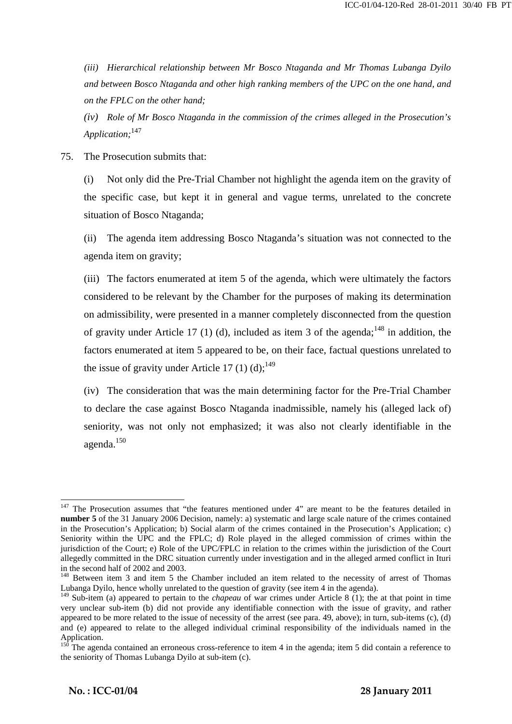*(iii) Hierarchical relationship between Mr Bosco Ntaganda and Mr Thomas Lubanga Dyilo and between Bosco Ntaganda and other high ranking members of the UPC on the one hand, and on the FPLC on the other hand;* 

*(iv) Role of Mr Bosco Ntaganda in the commission of the crimes alleged in the Prosecution's Application;*<sup>147</sup>

75. The Prosecution submits that:

(i) Not only did the Pre-Trial Chamber not highlight the agenda item on the gravity of the specific case, but kept it in general and vague terms, unrelated to the concrete situation of Bosco Ntaganda;

(ii) The agenda item addressing Bosco Ntaganda's situation was not connected to the agenda item on gravity;

(iii) The factors enumerated at item 5 of the agenda, which were ultimately the factors considered to be relevant by the Chamber for the purposes of making its determination on admissibility, were presented in a manner completely disconnected from the question of gravity under Article 17 (1) (d), included as item 3 of the agenda;<sup>148</sup> in addition, the factors enumerated at item 5 appeared to be, on their face, factual questions unrelated to the issue of gravity under Article 17 (1) (d);<sup>149</sup>

(iv) The consideration that was the main determining factor for the Pre-Trial Chamber to declare the case against Bosco Ntaganda inadmissible, namely his (alleged lack of) seniority, was not only not emphasized; it was also not clearly identifiable in the agenda.150

 $\mathbf{r} = \mathbf{r} \cdot \mathbf{r}$  ,  $\mathbf{r} = \mathbf{r} \cdot \mathbf{r}$  ,  $\mathbf{r} = \mathbf{r} \cdot \mathbf{r}$  ,  $\mathbf{r} = \mathbf{r} \cdot \mathbf{r}$  ,  $\mathbf{r} = \mathbf{r} \cdot \mathbf{r}$  ,  $\mathbf{r} = \mathbf{r} \cdot \mathbf{r}$  ,  $\mathbf{r} = \mathbf{r} \cdot \mathbf{r}$  ,  $\mathbf{r} = \mathbf{r} \cdot \mathbf{r}$  ,  $\mathbf{r} = \mathbf{r$ 

 $147$  The Prosecution assumes that "the features mentioned under 4" are meant to be the features detailed in **number 5** of the 31 January 2006 Decision, namely: a) systematic and large scale nature of the crimes contained in the Prosecution's Application; b) Social alarm of the crimes contained in the Prosecution's Application; c) Seniority within the UPC and the FPLC; d) Role played in the alleged commission of crimes within the jurisdiction of the Court; e) Role of the UPC/FPLC in relation to the crimes within the jurisdiction of the Court allegedly committed in the DRC situation currently under investigation and in the alleged armed conflict in Ituri in the second half of 2002 and 2003.

<sup>&</sup>lt;sup>148</sup> Between item 3 and item 5 the Chamber included an item related to the necessity of arrest of Thomas Lubanga Dyilo, hence wholly unrelated to the question of gravity (see item 4 in the agenda).

<sup>149</sup> Sub-item (a) appeared to pertain to the *chapeau* of war crimes under Article 8 (1); the at that point in time very unclear sub-item (b) did not provide any identifiable connection with the issue of gravity, and rather appeared to be more related to the issue of necessity of the arrest (see para. 49, above); in turn, sub-items (c), (d) and (e) appeared to relate to the alleged individual criminal responsibility of the individuals named in the Application.

 $150$  The agenda contained an erroneous cross-reference to item 4 in the agenda; item 5 did contain a reference to the seniority of Thomas Lubanga Dyilo at sub-item (c).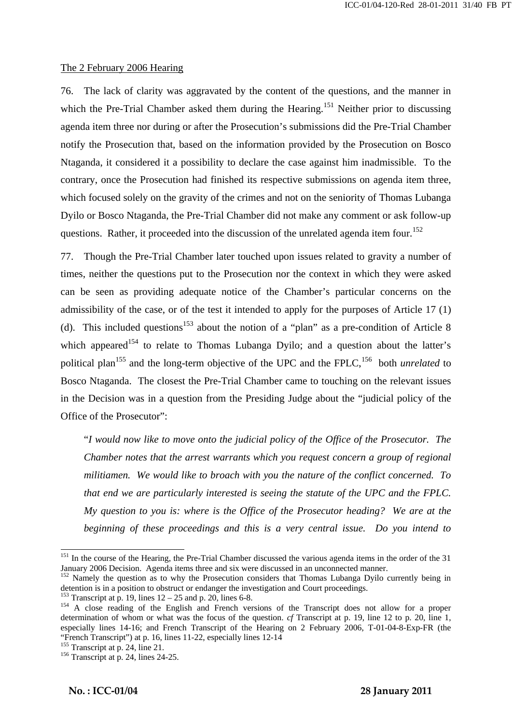#### The 2 February 2006 Hearing

76. The lack of clarity was aggravated by the content of the questions, and the manner in which the Pre-Trial Chamber asked them during the Hearing.<sup>151</sup> Neither prior to discussing agenda item three nor during or after the Prosecution's submissions did the Pre-Trial Chamber notify the Prosecution that, based on the information provided by the Prosecution on Bosco Ntaganda, it considered it a possibility to declare the case against him inadmissible. To the contrary, once the Prosecution had finished its respective submissions on agenda item three, which focused solely on the gravity of the crimes and not on the seniority of Thomas Lubanga Dyilo or Bosco Ntaganda, the Pre-Trial Chamber did not make any comment or ask follow-up questions. Rather, it proceeded into the discussion of the unrelated agenda item four.<sup>152</sup>

77. Though the Pre-Trial Chamber later touched upon issues related to gravity a number of times, neither the questions put to the Prosecution nor the context in which they were asked can be seen as providing adequate notice of the Chamber's particular concerns on the admissibility of the case, or of the test it intended to apply for the purposes of Article 17 (1) (d). This included questions<sup>153</sup> about the notion of a "plan" as a pre-condition of Article 8 which appeared<sup>154</sup> to relate to Thomas Lubanga Dyilo; and a question about the latter's political plan<sup>155</sup> and the long-term objective of the UPC and the FPLC,<sup>156</sup> both *unrelated* to Bosco Ntaganda. The closest the Pre-Trial Chamber came to touching on the relevant issues in the Decision was in a question from the Presiding Judge about the "judicial policy of the Office of the Prosecutor":

"*I would now like to move onto the judicial policy of the Office of the Prosecutor. The Chamber notes that the arrest warrants which you request concern a group of regional militiamen. We would like to broach with you the nature of the conflict concerned. To that end we are particularly interested is seeing the statute of the UPC and the FPLC. My question to you is: where is the Office of the Prosecutor heading? We are at the beginning of these proceedings and this is a very central issue. Do you intend to* 

 $\mathbf{r} = \mathbf{r} \cdot \mathbf{r}$  ,  $\mathbf{r} = \mathbf{r} \cdot \mathbf{r}$  ,  $\mathbf{r} = \mathbf{r} \cdot \mathbf{r}$  ,  $\mathbf{r} = \mathbf{r} \cdot \mathbf{r}$  ,  $\mathbf{r} = \mathbf{r} \cdot \mathbf{r}$  ,  $\mathbf{r} = \mathbf{r} \cdot \mathbf{r}$  ,  $\mathbf{r} = \mathbf{r} \cdot \mathbf{r}$  ,  $\mathbf{r} = \mathbf{r} \cdot \mathbf{r}$  ,  $\mathbf{r} = \mathbf{r$ 

<sup>&</sup>lt;sup>151</sup> In the course of the Hearing, the Pre-Trial Chamber discussed the various agenda items in the order of the 31 January 2006 Decision. Agenda items three and six were discussed in an unconnected manner.

<sup>&</sup>lt;sup>152</sup> Namely the question as to why the Prosecution considers that Thomas Lubanga Dyilo currently being in detention is in a position to obstruct or endanger the investigation and Court proceedings.<br><sup>153</sup> Transcript at p. 19, lines  $12 - 25$  and p. 20, lines 6-8.

 $154$  A close reading of the English and French versions of the Transcript does not allow for a proper determination of whom or what was the focus of the question. *cf* Transcript at p. 19, line 12 to p. 20, line 1, especially lines 14-16; and French Transcript of the Hearing on 2 February 2006, T-01-04-8-Exp-FR (the "French Transcript") at p. 16, lines 11-22, especially lines 12-14<br><sup>155</sup> Transcript at p. 24, line 21.<br><sup>156</sup> Transcript at p. 24, lines 24-25.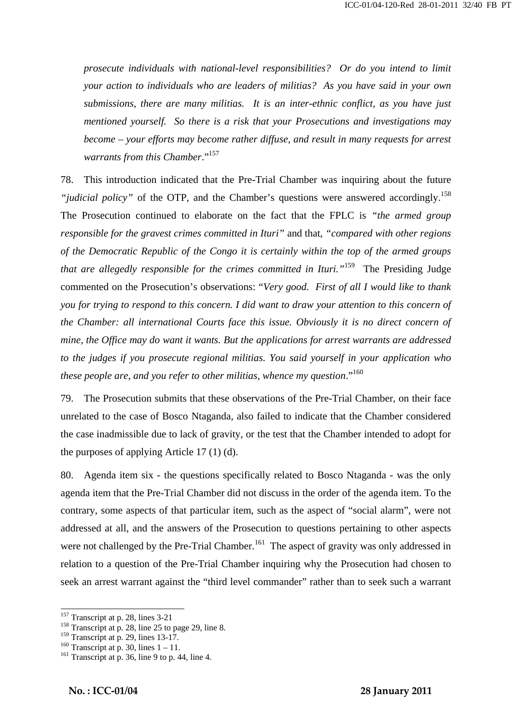*prosecute individuals with national-level responsibilities? Or do you intend to limit your action to individuals who are leaders of militias? As you have said in your own submissions, there are many militias. It is an inter-ethnic conflict, as you have just mentioned yourself. So there is a risk that your Prosecutions and investigations may become – your efforts may become rather diffuse, and result in many requests for arrest warrants from this Chamber*."157

78. This introduction indicated that the Pre-Trial Chamber was inquiring about the future *"judicial policy"* of the OTP, and the Chamber's questions were answered accordingly.<sup>158</sup> The Prosecution continued to elaborate on the fact that the FPLC is *"the armed group responsible for the gravest crimes committed in Ituri"* and that, *"compared with other regions of the Democratic Republic of the Congo it is certainly within the top of the armed groups that are allegedly responsible for the crimes committed in Ituri."*<sup>159</sup> The Presiding Judge commented on the Prosecution's observations: "*Very good. First of all I would like to thank you for trying to respond to this concern. I did want to draw your attention to this concern of the Chamber: all international Courts face this issue. Obviously it is no direct concern of mine, the Office may do want it wants. But the applications for arrest warrants are addressed to the judges if you prosecute regional militias. You said yourself in your application who these people are, and you refer to other militias, whence my question*."160

79. The Prosecution submits that these observations of the Pre-Trial Chamber, on their face unrelated to the case of Bosco Ntaganda, also failed to indicate that the Chamber considered the case inadmissible due to lack of gravity, or the test that the Chamber intended to adopt for the purposes of applying Article 17 (1) (d).

80. Agenda item six - the questions specifically related to Bosco Ntaganda - was the only agenda item that the Pre-Trial Chamber did not discuss in the order of the agenda item. To the contrary, some aspects of that particular item, such as the aspect of "social alarm", were not addressed at all, and the answers of the Prosecution to questions pertaining to other aspects were not challenged by the Pre-Trial Chamber.<sup>161</sup> The aspect of gravity was only addressed in relation to a question of the Pre-Trial Chamber inquiring why the Prosecution had chosen to seek an arrest warrant against the "third level commander" rather than to seek such a warrant

 $157$  Transcript at p. 28, lines 3-21

<sup>&</sup>lt;sup>158</sup> Transcript at p. 28, line 25 to page 29, line 8.<br><sup>159</sup> Transcript at p. 29, lines 13-17.

<sup>&</sup>lt;sup>160</sup> Transcript at p. 30, lines  $1-11$ .<br><sup>161</sup> Transcript at p. 36, line 9 to p. 44, line 4.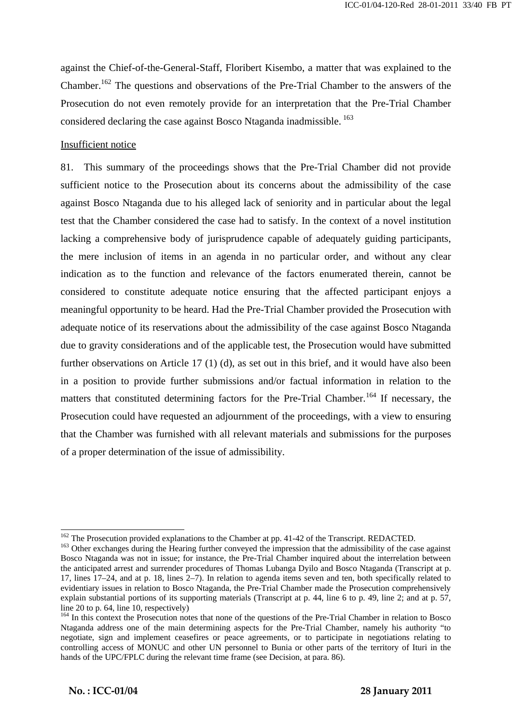against the Chief-of-the-General-Staff, Floribert Kisembo, a matter that was explained to the Chamber.162 The questions and observations of the Pre-Trial Chamber to the answers of the Prosecution do not even remotely provide for an interpretation that the Pre-Trial Chamber considered declaring the case against Bosco Ntaganda inadmissible.<sup>163</sup>

#### Insufficient notice

81. This summary of the proceedings shows that the Pre-Trial Chamber did not provide sufficient notice to the Prosecution about its concerns about the admissibility of the case against Bosco Ntaganda due to his alleged lack of seniority and in particular about the legal test that the Chamber considered the case had to satisfy. In the context of a novel institution lacking a comprehensive body of jurisprudence capable of adequately guiding participants, the mere inclusion of items in an agenda in no particular order, and without any clear indication as to the function and relevance of the factors enumerated therein, cannot be considered to constitute adequate notice ensuring that the affected participant enjoys a meaningful opportunity to be heard. Had the Pre-Trial Chamber provided the Prosecution with adequate notice of its reservations about the admissibility of the case against Bosco Ntaganda due to gravity considerations and of the applicable test, the Prosecution would have submitted further observations on Article 17 (1) (d), as set out in this brief, and it would have also been in a position to provide further submissions and/or factual information in relation to the matters that constituted determining factors for the Pre-Trial Chamber.<sup>164</sup> If necessary, the Prosecution could have requested an adjournment of the proceedings, with a view to ensuring that the Chamber was furnished with all relevant materials and submissions for the purposes of a proper determination of the issue of admissibility.

 $\mathbf{r} = \mathbf{r} \cdot \mathbf{r}$  ,  $\mathbf{r} = \mathbf{r} \cdot \mathbf{r}$  ,  $\mathbf{r} = \mathbf{r} \cdot \mathbf{r}$  ,  $\mathbf{r} = \mathbf{r} \cdot \mathbf{r}$  ,  $\mathbf{r} = \mathbf{r} \cdot \mathbf{r}$  ,  $\mathbf{r} = \mathbf{r} \cdot \mathbf{r}$  ,  $\mathbf{r} = \mathbf{r} \cdot \mathbf{r}$  ,  $\mathbf{r} = \mathbf{r} \cdot \mathbf{r}$  ,  $\mathbf{r} = \mathbf{r$ 

<sup>&</sup>lt;sup>162</sup> The Prosecution provided explanations to the Chamber at pp. 41-42 of the Transcript. REDACTED. <sup>163</sup> Other exchanges during the Hearing further conveyed the impression that the admissibility of the case against Bosco Ntaganda was not in issue; for instance, the Pre-Trial Chamber inquired about the interrelation between the anticipated arrest and surrender procedures of Thomas Lubanga Dyilo and Bosco Ntaganda (Transcript at p. 17, lines 17–24, and at p. 18, lines 2–7). In relation to agenda items seven and ten, both specifically related to evidentiary issues in relation to Bosco Ntaganda, the Pre-Trial Chamber made the Prosecution comprehensively explain substantial portions of its supporting materials (Transcript at p. 44, line 6 to p. 49, line 2; and at p. 57, line 20 to p. 64, line 10, respectively)

<sup>&</sup>lt;sup>164</sup> In this context the Prosecution notes that none of the questions of the Pre-Trial Chamber in relation to Bosco Ntaganda address one of the main determining aspects for the Pre-Trial Chamber, namely his authority "to negotiate, sign and implement ceasefires or peace agreements, or to participate in negotiations relating to controlling access of MONUC and other UN personnel to Bunia or other parts of the territory of Ituri in the hands of the UPC/FPLC during the relevant time frame (see Decision, at para. 86).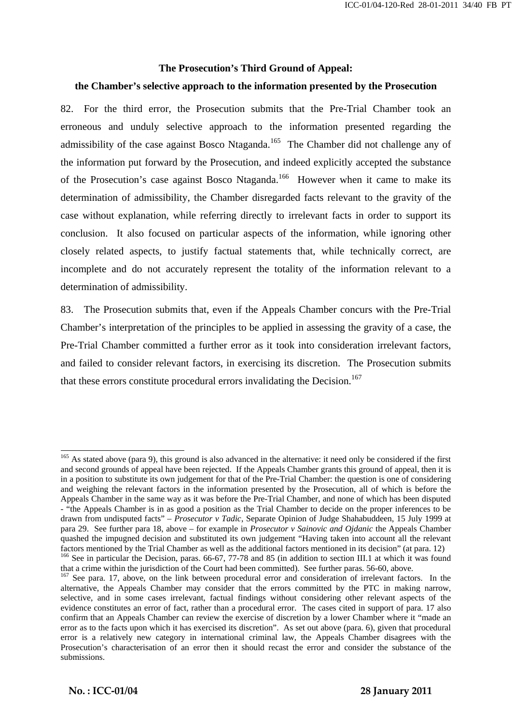#### **The Prosecution's Third Ground of Appeal:**

### **the Chamber's selective approach to the information presented by the Prosecution**

82. For the third error, the Prosecution submits that the Pre-Trial Chamber took an erroneous and unduly selective approach to the information presented regarding the admissibility of the case against Bosco Ntaganda.<sup>165</sup> The Chamber did not challenge any of the information put forward by the Prosecution, and indeed explicitly accepted the substance of the Prosecution's case against Bosco Ntaganda.<sup>166</sup> However when it came to make its determination of admissibility, the Chamber disregarded facts relevant to the gravity of the case without explanation, while referring directly to irrelevant facts in order to support its conclusion. It also focused on particular aspects of the information, while ignoring other closely related aspects, to justify factual statements that, while technically correct, are incomplete and do not accurately represent the totality of the information relevant to a determination of admissibility.

83. The Prosecution submits that, even if the Appeals Chamber concurs with the Pre-Trial Chamber's interpretation of the principles to be applied in assessing the gravity of a case, the Pre-Trial Chamber committed a further error as it took into consideration irrelevant factors, and failed to consider relevant factors, in exercising its discretion. The Prosecution submits that these errors constitute procedural errors invalidating the Decision.<sup>167</sup>

 $\mathbf{r} = \mathbf{r} \cdot \mathbf{r}$  ,  $\mathbf{r} = \mathbf{r} \cdot \mathbf{r}$  ,  $\mathbf{r} = \mathbf{r} \cdot \mathbf{r}$  ,  $\mathbf{r} = \mathbf{r} \cdot \mathbf{r}$  ,  $\mathbf{r} = \mathbf{r} \cdot \mathbf{r}$  ,  $\mathbf{r} = \mathbf{r} \cdot \mathbf{r}$  ,  $\mathbf{r} = \mathbf{r} \cdot \mathbf{r}$  ,  $\mathbf{r} = \mathbf{r} \cdot \mathbf{r}$  ,  $\mathbf{r} = \mathbf{r$ 

<sup>&</sup>lt;sup>165</sup> As stated above (para 9), this ground is also advanced in the alternative: it need only be considered if the first and second grounds of appeal have been rejected. If the Appeals Chamber grants this ground of appeal, then it is in a position to substitute its own judgement for that of the Pre-Trial Chamber: the question is one of considering and weighing the relevant factors in the information presented by the Prosecution, all of which is before the Appeals Chamber in the same way as it was before the Pre-Trial Chamber, and none of which has been disputed - "the Appeals Chamber is in as good a position as the Trial Chamber to decide on the proper inferences to be drawn from undisputed facts" – *Prosecutor v Tadic*, Separate Opinion of Judge Shahabuddeen, 15 July 1999 at para 29. See further para 18, above – for example in *Prosecutor v Sainovic and Ojdanic* the Appeals Chamber quashed the impugned decision and substituted its own judgement "Having taken into account all the relevant factors mentioned by the Trial Chamber as well as the additional factors mentioned in its decision" (at para. 12)<br><sup>166</sup> See in particular the Decision, paras. 66-67, 77-78 and 85 (in addition to section III.1 at which it w

that a crime within the jurisdiction of the Court had been committed). See further paras. 56-60, above.

<sup>&</sup>lt;sup>167</sup> See para. 17, above, on the link between procedural error and consideration of irrelevant factors. In the alternative, the Appeals Chamber may consider that the errors committed by the PTC in making narrow, selective, and in some cases irrelevant, factual findings without considering other relevant aspects of the evidence constitutes an error of fact, rather than a procedural error. The cases cited in support of para. 17 also confirm that an Appeals Chamber can review the exercise of discretion by a lower Chamber where it "made an error as to the facts upon which it has exercised its discretion". As set out above (para. 6), given that procedural error is a relatively new category in international criminal law, the Appeals Chamber disagrees with the Prosecution's characterisation of an error then it should recast the error and consider the substance of the submissions.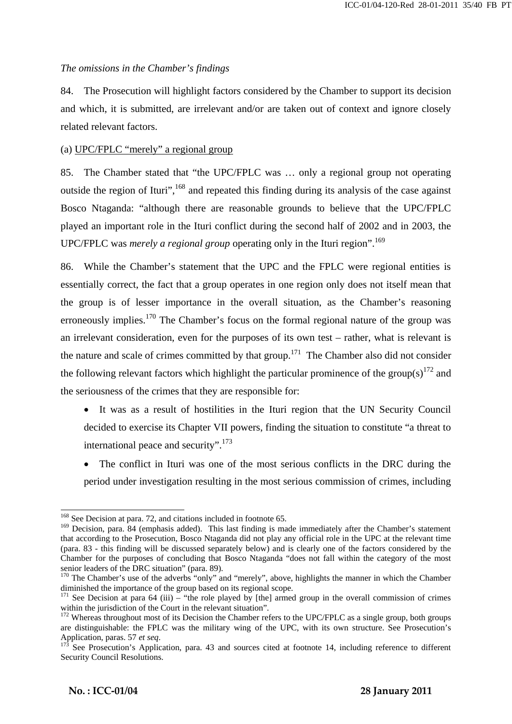#### *The omissions in the Chamber's findings*

84. The Prosecution will highlight factors considered by the Chamber to support its decision and which, it is submitted, are irrelevant and/or are taken out of context and ignore closely related relevant factors.

## (a) UPC/FPLC "merely" a regional group

85. The Chamber stated that "the UPC/FPLC was … only a regional group not operating outside the region of Ituri", <sup>168</sup> and repeated this finding during its analysis of the case against Bosco Ntaganda: "although there are reasonable grounds to believe that the UPC/FPLC played an important role in the Ituri conflict during the second half of 2002 and in 2003, the UPC/FPLC was *merely a regional group* operating only in the Ituri region".<sup>169</sup>

86. While the Chamber's statement that the UPC and the FPLC were regional entities is essentially correct, the fact that a group operates in one region only does not itself mean that the group is of lesser importance in the overall situation, as the Chamber's reasoning erroneously implies.<sup>170</sup> The Chamber's focus on the formal regional nature of the group was an irrelevant consideration, even for the purposes of its own test – rather, what is relevant is the nature and scale of crimes committed by that group.<sup>171</sup> The Chamber also did not consider the following relevant factors which highlight the particular prominence of the group(s)<sup>172</sup> and the seriousness of the crimes that they are responsible for:

- It was as a result of hostilities in the Ituri region that the UN Security Council decided to exercise its Chapter VII powers, finding the situation to constitute "a threat to international peace and security".<sup>173</sup>
- The conflict in Ituri was one of the most serious conflicts in the DRC during the period under investigation resulting in the most serious commission of crimes, including

 $\overline{a}$ <sup>168</sup> See Decision at para. 72, and citations included in footnote 65.

<sup>&</sup>lt;sup>169</sup> Decision, para. 84 (emphasis added). This last finding is made immediately after the Chamber's statement that according to the Prosecution, Bosco Ntaganda did not play any official role in the UPC at the relevant time (para. 83 - this finding will be discussed separately below) and is clearly one of the factors considered by the Chamber for the purposes of concluding that Bosco Ntaganda "does not fall within the category of the most

 $170$  The Chamber's use of the adverbs "only" and "merely", above, highlights the manner in which the Chamber diminished the importance of the group based on its regional scope.

<sup>&</sup>lt;sup>171</sup> See Decision at para 64 (iii) – "the role played by [the] armed group in the overall commission of crimes within the jurisdiction of the Court in the relevant situation".

<sup>&</sup>lt;sup>172</sup> Whereas throughout most of its Decision the Chamber refers to the UPC/FPLC as a single group, both groups are distinguishable: the FPLC was the military wing of the UPC, with its own structure. See Prosecution's Application, paras. 57 *et seq*.<br><sup>173</sup> See Prosecution's Application, para. 43 and sources cited at footnote 14, including reference to different

Security Council Resolutions.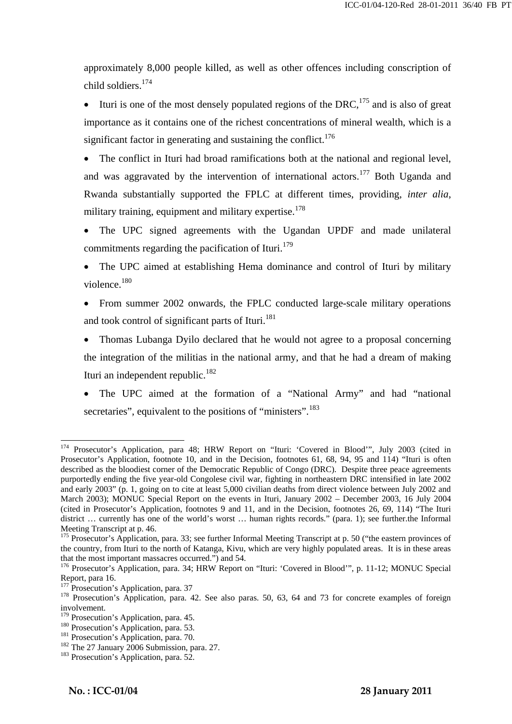approximately 8,000 people killed, as well as other offences including conscription of child soldiers.<sup>174</sup>

Ituri is one of the most densely populated regions of the DRC,  $^{175}$  and is also of great importance as it contains one of the richest concentrations of mineral wealth, which is a significant factor in generating and sustaining the conflict.<sup>176</sup>

The conflict in Ituri had broad ramifications both at the national and regional level, and was aggravated by the intervention of international actors.<sup>177</sup> Both Uganda and Rwanda substantially supported the FPLC at different times, providing, *inter alia*, military training, equipment and military expertise.<sup>178</sup>

The UPC signed agreements with the Ugandan UPDF and made unilateral commitments regarding the pacification of Ituri. $179$ 

- The UPC aimed at establishing Hema dominance and control of Ituri by military violence.<sup>180</sup>
- From summer 2002 onwards, the FPLC conducted large-scale military operations and took control of significant parts of Ituri.<sup>181</sup>

• Thomas Lubanga Dyilo declared that he would not agree to a proposal concerning the integration of the militias in the national army, and that he had a dream of making Ituri an independent republic. $182$ 

• The UPC aimed at the formation of a "National Army" and had "national secretaries", equivalent to the positions of "ministers".<sup>183</sup>

 $\mathbf{r} = \mathbf{r} \cdot \mathbf{r}$  ,  $\mathbf{r} = \mathbf{r} \cdot \mathbf{r}$  ,  $\mathbf{r} = \mathbf{r} \cdot \mathbf{r}$  ,  $\mathbf{r} = \mathbf{r} \cdot \mathbf{r}$  ,  $\mathbf{r} = \mathbf{r} \cdot \mathbf{r}$  ,  $\mathbf{r} = \mathbf{r} \cdot \mathbf{r}$  ,  $\mathbf{r} = \mathbf{r} \cdot \mathbf{r}$  ,  $\mathbf{r} = \mathbf{r} \cdot \mathbf{r}$  ,  $\mathbf{r} = \mathbf{r$ 

<sup>&</sup>lt;sup>174</sup> Prosecutor's Application, para 48; HRW Report on "Ituri: 'Covered in Blood'", July 2003 (cited in Prosecutor's Application, footnote 10, and in the Decision, footnotes 61, 68, 94, 95 and 114) "Ituri is often described as the bloodiest corner of the Democratic Republic of Congo (DRC). Despite three peace agreements purportedly ending the five year-old Congolese civil war, fighting in northeastern DRC intensified in late 2002 and early 2003" (p. 1, going on to cite at least 5,000 civilian deaths from direct violence between July 2002 and March 2003); MONUC Special Report on the events in Ituri, January 2002 – December 2003, 16 July 2004 (cited in Prosecutor's Application, footnotes 9 and 11, and in the Decision, footnotes 26, 69, 114) "The Ituri district … currently has one of the world's worst … human rights records." (para. 1); see further.the Informal Meeting Transcript at p. 46.

<sup>&</sup>lt;sup>175</sup> Prosecutor's Application, para. 33; see further Informal Meeting Transcript at p. 50 ("the eastern provinces of the country, from Ituri to the north of Katanga, Kivu, which are very highly populated areas. It is in these areas that the most important massacres occurred.") and 54.

<sup>&</sup>lt;sup>176</sup> Prosecutor's Application, para. 34; HRW Report on "Ituri: 'Covered in Blood'", p. 11-12; MONUC Special Report, para 16.<br><sup>177</sup> Prosecution's Application, para. 37

<sup>&</sup>lt;sup>178</sup> Prosecution's Application, para. 42. See also paras. 50, 63, 64 and 73 for concrete examples of foreign involvement.<br><sup>179</sup> Prosecution's Application, para. 45.

<sup>180</sup> Prosecution's Application, para. 53.<br>
<sup>181</sup> Prosecution's Application, para. 70.<br>
<sup>182</sup> The 27 January 2006 Submission, para. 27.<br>
<sup>183</sup> Prosecution's Application, para. 52.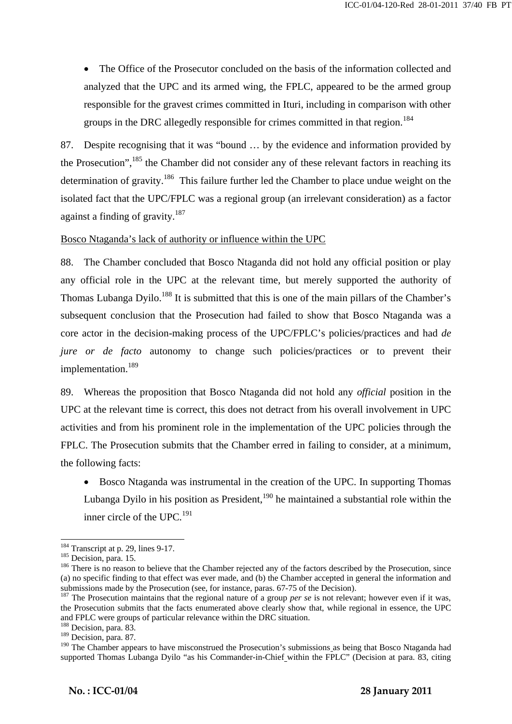• The Office of the Prosecutor concluded on the basis of the information collected and analyzed that the UPC and its armed wing, the FPLC, appeared to be the armed group responsible for the gravest crimes committed in Ituri, including in comparison with other groups in the DRC allegedly responsible for crimes committed in that region.<sup>184</sup>

87. Despite recognising that it was "bound … by the evidence and information provided by the Prosecution",  $^{185}$  the Chamber did not consider any of these relevant factors in reaching its determination of gravity.<sup>186</sup> This failure further led the Chamber to place undue weight on the isolated fact that the UPC/FPLC was a regional group (an irrelevant consideration) as a factor against a finding of gravity. $187$ 

Bosco Ntaganda's lack of authority or influence within the UPC

88. The Chamber concluded that Bosco Ntaganda did not hold any official position or play any official role in the UPC at the relevant time, but merely supported the authority of Thomas Lubanga Dyilo.<sup>188</sup> It is submitted that this is one of the main pillars of the Chamber's subsequent conclusion that the Prosecution had failed to show that Bosco Ntaganda was a core actor in the decision-making process of the UPC/FPLC's policies/practices and had *de jure or de facto* autonomy to change such policies/practices or to prevent their implementation.<sup>189</sup>

89. Whereas the proposition that Bosco Ntaganda did not hold any *official* position in the UPC at the relevant time is correct, this does not detract from his overall involvement in UPC activities and from his prominent role in the implementation of the UPC policies through the FPLC. The Prosecution submits that the Chamber erred in failing to consider, at a minimum, the following facts:

• Bosco Ntaganda was instrumental in the creation of the UPC. In supporting Thomas Lubanga Dyilo in his position as President,  $190$  he maintained a substantial role within the inner circle of the UPC.<sup>191</sup>

 $184$  Transcript at p. 29, lines 9-17.

<sup>&</sup>lt;sup>185</sup> Decision, para. 15.  $\frac{186}{186}$  There is no reason to believe that the Chamber rejected any of the factors described by the Prosecution, since (a) no specific finding to that effect was ever made, and (b) the Chamber accepted in general the information and submissions made by the Prosecution (see, for instance, paras. 67-75 of the Decision).

<sup>&</sup>lt;sup>187</sup> The Prosecution maintains that the regional nature of a group *per se* is not relevant; however even if it was, the Prosecution submits that the facts enumerated above clearly show that, while regional in essence, the UPC and FPLC were groups of particular relevance within the DRC situation. 188 Decision, para. 83.

<sup>&</sup>lt;sup>189</sup> Decision, para. 87.

<sup>&</sup>lt;sup>190</sup> The Chamber appears to have misconstrued the Prosecution's submissions as being that Bosco Ntaganda had supported Thomas Lubanga Dyilo "as his Commander-in-Chief within the FPLC" (Decision at para. 83, citing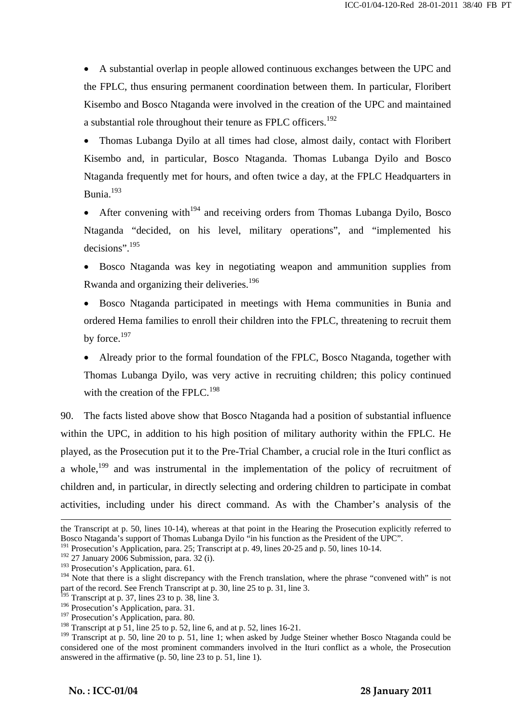• A substantial overlap in people allowed continuous exchanges between the UPC and the FPLC, thus ensuring permanent coordination between them. In particular, Floribert Kisembo and Bosco Ntaganda were involved in the creation of the UPC and maintained a substantial role throughout their tenure as FPLC officers.<sup>192</sup>

• Thomas Lubanga Dyilo at all times had close, almost daily, contact with Floribert Kisembo and, in particular, Bosco Ntaganda. Thomas Lubanga Dyilo and Bosco Ntaganda frequently met for hours, and often twice a day, at the FPLC Headquarters in Bunia.<sup>193</sup>

• After convening with<sup>194</sup> and receiving orders from Thomas Lubanga Dyilo, Bosco Ntaganda "decided, on his level, military operations", and "implemented his decisions".195

• Bosco Ntaganda was key in negotiating weapon and ammunition supplies from Rwanda and organizing their deliveries.<sup>196</sup>

• Bosco Ntaganda participated in meetings with Hema communities in Bunia and ordered Hema families to enroll their children into the FPLC, threatening to recruit them by force.<sup>197</sup>

• Already prior to the formal foundation of the FPLC, Bosco Ntaganda, together with Thomas Lubanga Dyilo, was very active in recruiting children; this policy continued with the creation of the FPLC.<sup>198</sup>

90. The facts listed above show that Bosco Ntaganda had a position of substantial influence within the UPC, in addition to his high position of military authority within the FPLC. He played, as the Prosecution put it to the Pre-Trial Chamber, a crucial role in the Ituri conflict as a whole,<sup>199</sup> and was instrumental in the implementation of the policy of recruitment of children and, in particular, in directly selecting and ordering children to participate in combat activities, including under his direct command. As with the Chamber's analysis of the

 $\mathbf{r} = \mathbf{r} \cdot \mathbf{r}$  ,  $\mathbf{r} = \mathbf{r} \cdot \mathbf{r}$  ,  $\mathbf{r} = \mathbf{r} \cdot \mathbf{r}$  ,  $\mathbf{r} = \mathbf{r} \cdot \mathbf{r}$  ,  $\mathbf{r} = \mathbf{r} \cdot \mathbf{r}$  ,  $\mathbf{r} = \mathbf{r} \cdot \mathbf{r}$  ,  $\mathbf{r} = \mathbf{r} \cdot \mathbf{r}$  ,  $\mathbf{r} = \mathbf{r} \cdot \mathbf{r}$  ,  $\mathbf{r} = \mathbf{r$ 

the Transcript at p. 50, lines 10-14), whereas at that point in the Hearing the Prosecution explicitly referred to Bosco Ntaganda's support of Thomas Lubanga Dyilo "in his function as the President of the UPC".

<sup>191</sup> Prosecution's Application, para. 25; Transcript at p. 49, lines 20-25 and p. 50, lines 10-14.

 $192$  27 January 2006 Submission, para. 32 (i).

<sup>&</sup>lt;sup>193</sup> Prosecution's Application, para. 61.

<sup>&</sup>lt;sup>194</sup> Note that there is a slight discrepancy with the French translation, where the phrase "convened with" is not part of the record. See French Transcript at p. 30, line 25 to p. 31, line 3.

 $195$  Transcript at p. 37, lines 23 to p. 38, line 3.

 $196$  Prosecution's Application, para. 31.

<sup>&</sup>lt;sup>197</sup> Prosecution's Application, para. 80.

<sup>&</sup>lt;sup>198</sup> Transcript at p 51, line 25 to p. 52, line 6, and at p. 52, lines 16-21.

<sup>&</sup>lt;sup>199</sup> Transcript at p. 50, line 20 to p. 51, line 1; when asked by Judge Steiner whether Bosco Ntaganda could be considered one of the most prominent commanders involved in the Ituri conflict as a whole, the Prosecution answered in the affirmative (p. 50, line 23 to p. 51, line 1).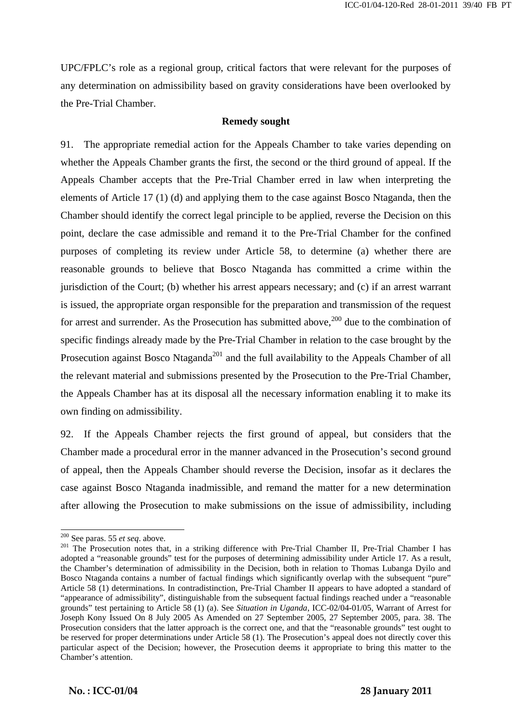UPC/FPLC's role as a regional group, critical factors that were relevant for the purposes of any determination on admissibility based on gravity considerations have been overlooked by the Pre-Trial Chamber.

#### **Remedy sought**

91. The appropriate remedial action for the Appeals Chamber to take varies depending on whether the Appeals Chamber grants the first, the second or the third ground of appeal. If the Appeals Chamber accepts that the Pre-Trial Chamber erred in law when interpreting the elements of Article 17 (1) (d) and applying them to the case against Bosco Ntaganda, then the Chamber should identify the correct legal principle to be applied, reverse the Decision on this point, declare the case admissible and remand it to the Pre-Trial Chamber for the confined purposes of completing its review under Article 58, to determine (a) whether there are reasonable grounds to believe that Bosco Ntaganda has committed a crime within the jurisdiction of the Court; (b) whether his arrest appears necessary; and (c) if an arrest warrant is issued, the appropriate organ responsible for the preparation and transmission of the request for arrest and surrender. As the Prosecution has submitted above,<sup>200</sup> due to the combination of specific findings already made by the Pre-Trial Chamber in relation to the case brought by the Prosecution against Bosco Ntaganda<sup>201</sup> and the full availability to the Appeals Chamber of all the relevant material and submissions presented by the Prosecution to the Pre-Trial Chamber, the Appeals Chamber has at its disposal all the necessary information enabling it to make its own finding on admissibility.

92. If the Appeals Chamber rejects the first ground of appeal, but considers that the Chamber made a procedural error in the manner advanced in the Prosecution's second ground of appeal, then the Appeals Chamber should reverse the Decision, insofar as it declares the case against Bosco Ntaganda inadmissible, and remand the matter for a new determination after allowing the Prosecution to make submissions on the issue of admissibility, including

 $\overline{a}$ 

<sup>&</sup>lt;sup>200</sup> See paras. 55 *et seq.* above.<br><sup>201</sup> The Prosecution notes that, in a striking difference with Pre-Trial Chamber II, Pre-Trial Chamber I has adopted a "reasonable grounds" test for the purposes of determining admissibility under Article 17. As a result, the Chamber's determination of admissibility in the Decision, both in relation to Thomas Lubanga Dyilo and Bosco Ntaganda contains a number of factual findings which significantly overlap with the subsequent "pure" Article 58 (1) determinations. In contradistinction, Pre-Trial Chamber II appears to have adopted a standard of "appearance of admissibility", distinguishable from the subsequent factual findings reached under a "reasonable grounds" test pertaining to Article 58 (1) (a). See *Situation in Uganda*, ICC-02/04-01/05, Warrant of Arrest for Joseph Kony Issued On 8 July 2005 As Amended on 27 September 2005, 27 September 2005, para. 38. The Prosecution considers that the latter approach is the correct one, and that the "reasonable grounds" test ought to be reserved for proper determinations under Article 58 (1). The Prosecution's appeal does not directly cover this particular aspect of the Decision; however, the Prosecution deems it appropriate to bring this matter to the Chamber's attention.